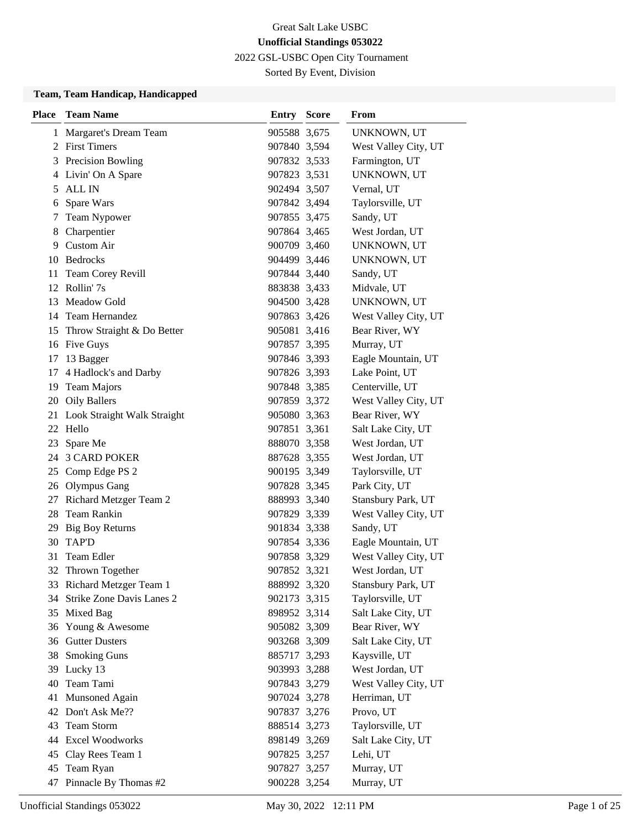2022 GSL-USBC Open City Tournament

Sorted By Event, Division

#### **Team, Team Handicap, Handicapped**

| <b>Place</b> | <b>Team Name</b>               | <b>Entry Score</b> | From                 |
|--------------|--------------------------------|--------------------|----------------------|
| 1            | Margaret's Dream Team          | 905588 3,675       | UNKNOWN, UT          |
|              | 2 First Timers                 | 907840 3,594       | West Valley City, UT |
| 3            | Precision Bowling              | 907832 3,533       | Farmington, UT       |
| 4            | Livin' On A Spare              | 907823 3,531       | UNKNOWN, UT          |
| 5            | ALL IN                         | 902494 3,507       | Vernal, UT           |
| 6            | Spare Wars                     | 907842 3,494       | Taylorsville, UT     |
| 7            | Team Nypower                   | 907855 3,475       | Sandy, UT            |
| 8            | Charpentier                    | 907864 3,465       | West Jordan, UT      |
| 9            | <b>Custom Air</b>              | 900709 3,460       | UNKNOWN, UT          |
|              | 10 Bedrocks                    | 904499 3,446       | UNKNOWN, UT          |
| 11           | Team Corey Revill              | 907844 3,440       | Sandy, UT            |
|              | 12 Rollin' 7s                  | 883838 3,433       | Midvale, UT          |
| 13           | <b>Meadow Gold</b>             | 904500 3,428       | UNKNOWN, UT          |
| 14           | <b>Team Hernandez</b>          | 907863 3,426       | West Valley City, UT |
|              | 15 Throw Straight & Do Better  | 905081 3,416       | Bear River, WY       |
|              | 16 Five Guys                   | 907857 3,395       | Murray, UT           |
| 17           | 13 Bagger                      | 907846 3,393       | Eagle Mountain, UT   |
| 17           | 4 Hadlock's and Darby          | 907826 3,393       | Lake Point, UT       |
| 19           | <b>Team Majors</b>             | 907848 3,385       | Centerville, UT      |
|              | 20 Oily Ballers                | 907859 3,372       | West Valley City, UT |
|              | 21 Look Straight Walk Straight | 905080 3,363       | Bear River, WY       |
|              | 22 Hello                       | 907851 3,361       | Salt Lake City, UT   |
| 23           | Spare Me                       | 888070 3,358       | West Jordan, UT      |
|              | 24 3 CARD POKER                | 887628 3,355       | West Jordan, UT      |
|              | 25 Comp Edge PS 2              | 900195 3,349       | Taylorsville, UT     |
|              | 26 Olympus Gang                | 907828 3,345       | Park City, UT        |
| 27           | Richard Metzger Team 2         | 888993 3,340       | Stansbury Park, UT   |
|              | 28 Team Rankin                 | 907829 3,339       | West Valley City, UT |
| 29           | <b>Big Boy Returns</b>         | 901834 3,338       | Sandy, UT            |
|              | 30 TAP'D                       | 907854 3,336       | Eagle Mountain, UT   |
| 31           | Team Edler                     | 907858 3,329       | West Valley City, UT |
| 32           | Thrown Together                | 907852 3,321       | West Jordan, UT      |
|              | 33 Richard Metzger Team 1      | 888992 3,320       | Stansbury Park, UT   |
| 34           | Strike Zone Davis Lanes 2      | 902173 3,315       | Taylorsville, UT     |
| 35           | Mixed Bag                      | 898952 3,314       | Salt Lake City, UT   |
|              | 36 Young & Awesome             | 905082 3,309       | Bear River, WY       |
|              | 36 Gutter Dusters              | 903268 3,309       | Salt Lake City, UT   |
| 38           | <b>Smoking Guns</b>            | 885717 3,293       | Kaysville, UT        |
| 39           | Lucky 13                       | 903993 3,288       | West Jordan, UT      |
| 40           | Team Tami                      | 907843 3,279       | West Valley City, UT |
| 41           | Munsoned Again                 | 907024 3,278       | Herriman, UT         |
| 42           | Don't Ask Me??                 | 907837 3,276       | Provo, UT            |
| 43           | Team Storm                     | 888514 3,273       | Taylorsville, UT     |
|              | 44 Excel Woodworks             | 898149 3,269       | Salt Lake City, UT   |
| 45           | Clay Rees Team 1               | 907825 3,257       | Lehi, UT             |
| 45           | Team Ryan                      | 907827 3,257       | Murray, UT           |
| 47           | Pinnacle By Thomas #2          | 900228 3,254       | Murray, UT           |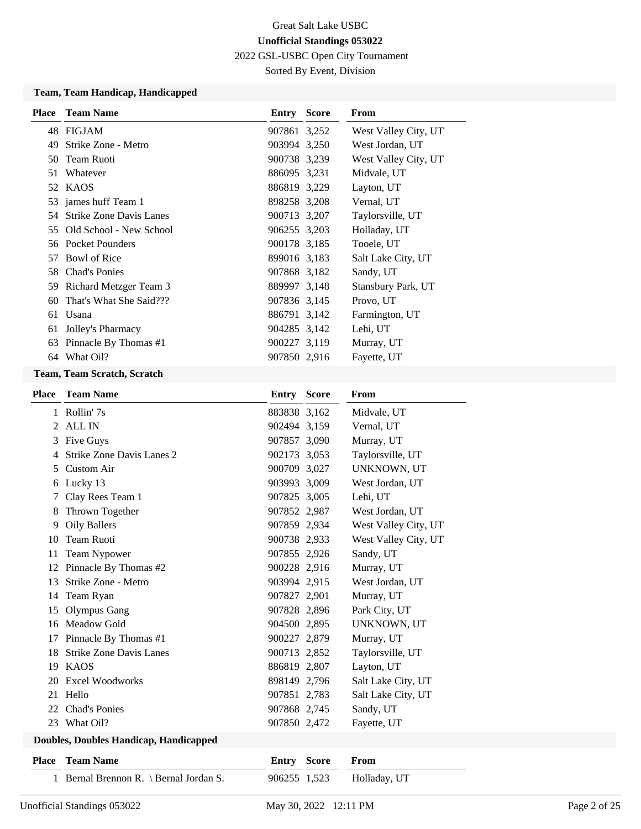2022 GSL-USBC Open City Tournament

Sorted By Event, Division

### **Team, Team Handicap, Handicapped**

|                                |                                                                                                                                                                                                                            | From                                                                                                                                                                                                                                                                                               |
|--------------------------------|----------------------------------------------------------------------------------------------------------------------------------------------------------------------------------------------------------------------------|----------------------------------------------------------------------------------------------------------------------------------------------------------------------------------------------------------------------------------------------------------------------------------------------------|
|                                |                                                                                                                                                                                                                            | West Valley City, UT                                                                                                                                                                                                                                                                               |
| Strike Zone - Metro            |                                                                                                                                                                                                                            | West Jordan, UT                                                                                                                                                                                                                                                                                    |
| Team Ruoti                     |                                                                                                                                                                                                                            | West Valley City, UT                                                                                                                                                                                                                                                                               |
| Whatever                       |                                                                                                                                                                                                                            | Midvale, UT                                                                                                                                                                                                                                                                                        |
|                                |                                                                                                                                                                                                                            | Layton, UT                                                                                                                                                                                                                                                                                         |
|                                |                                                                                                                                                                                                                            | Vernal, UT                                                                                                                                                                                                                                                                                         |
| <b>Strike Zone Davis Lanes</b> |                                                                                                                                                                                                                            | Taylorsville, UT                                                                                                                                                                                                                                                                                   |
|                                |                                                                                                                                                                                                                            | Holladay, UT                                                                                                                                                                                                                                                                                       |
|                                |                                                                                                                                                                                                                            | Tooele, UT                                                                                                                                                                                                                                                                                         |
| Bowl of Rice                   |                                                                                                                                                                                                                            | Salt Lake City, UT                                                                                                                                                                                                                                                                                 |
|                                |                                                                                                                                                                                                                            | Sandy, UT                                                                                                                                                                                                                                                                                          |
|                                |                                                                                                                                                                                                                            | Stansbury Park, UT                                                                                                                                                                                                                                                                                 |
| That's What She Said???        |                                                                                                                                                                                                                            | Provo, UT                                                                                                                                                                                                                                                                                          |
|                                |                                                                                                                                                                                                                            | Farmington, UT                                                                                                                                                                                                                                                                                     |
|                                |                                                                                                                                                                                                                            | Lehi, UT                                                                                                                                                                                                                                                                                           |
| Pinnacle By Thomas #1          |                                                                                                                                                                                                                            | Murray, UT                                                                                                                                                                                                                                                                                         |
|                                |                                                                                                                                                                                                                            | Fayette, UT                                                                                                                                                                                                                                                                                        |
|                                | <b>Place</b> Team Name<br>48 FIGJAM<br>52 KAOS<br>53 james huff Team 1<br>54.<br>Old School - New School<br>56 Pocket Pounders<br>58 Chad's Ponies<br>Richard Metzger Team 3<br>Usana<br>Jolley's Pharmacy<br>64 What Oil? | <b>Entry Score</b><br>907861 3,252<br>903994 3,250<br>900738 3,239<br>886095 3,231<br>886819 3,229<br>898258 3,208<br>900713 3,207<br>906255 3,203<br>900178 3,185<br>899016 3,183<br>907868 3,182<br>889997 3,148<br>907836 3,145<br>886791 3,142<br>904285 3,142<br>900227 3,119<br>907850 2,916 |

#### **Team, Team Scratch, Scratch**

| <b>Place</b> | <b>Team Name</b>                       | Entry        | <b>Score</b> | From                 |
|--------------|----------------------------------------|--------------|--------------|----------------------|
|              | 1 Rollin' 7s                           | 883838 3,162 |              | Midvale, UT          |
| 2            | ALL IN                                 | 902494 3,159 |              | Vernal, UT           |
| 3            | Five Guys                              | 907857 3,090 |              | Murray, UT           |
| 4            | <b>Strike Zone Davis Lanes 2</b>       | 902173 3,053 |              | Taylorsville, UT     |
| 5.           | <b>Custom Air</b>                      | 900709 3,027 |              | UNKNOWN, UT          |
| 6            | Lucky 13                               | 903993 3,009 |              | West Jordan, UT      |
|              | Clay Rees Team 1                       | 907825 3,005 |              | Lehi, UT             |
| 8            | Thrown Together                        | 907852 2,987 |              | West Jordan, UT      |
| 9            | <b>Oily Ballers</b>                    | 907859 2,934 |              | West Valley City, UT |
| 10           | Team Ruoti                             | 900738 2,933 |              | West Valley City, UT |
| 11           | Team Nypower                           | 907855 2,926 |              | Sandy, UT            |
| 12           | Pinnacle By Thomas #2                  | 900228 2,916 |              | Murray, UT           |
| 13           | Strike Zone - Metro                    | 903994 2,915 |              | West Jordan, UT      |
| 14           | Team Ryan                              | 907827 2,901 |              | Murray, UT           |
| 15           | <b>Olympus Gang</b>                    | 907828 2,896 |              | Park City, UT        |
| 16           | Meadow Gold                            | 904500 2,895 |              | UNKNOWN, UT          |
| 17           | Pinnacle By Thomas #1                  | 900227 2,879 |              | Murray, UT           |
| 18           | <b>Strike Zone Davis Lanes</b>         | 900713 2,852 |              | Taylorsville, UT     |
|              | 19 KAOS                                | 886819 2,807 |              | Layton, UT           |
| 20           | <b>Excel Woodworks</b>                 | 898149 2,796 |              | Salt Lake City, UT   |
| 21           | Hello                                  | 907851 2,783 |              | Salt Lake City, UT   |
| 22           | <b>Chad's Ponies</b>                   | 907868 2,745 |              | Sandy, UT            |
| 23           | What Oil?                              | 907850 2,472 |              | Fayette, UT          |
|              | Doubles, Doubles Handicap, Handicapped |              |              |                      |

# **Place Team Name Entry Score From** 1 Bernal Brennon R. \ Bernal Jordan S. 906255 1,523 Holladay, UT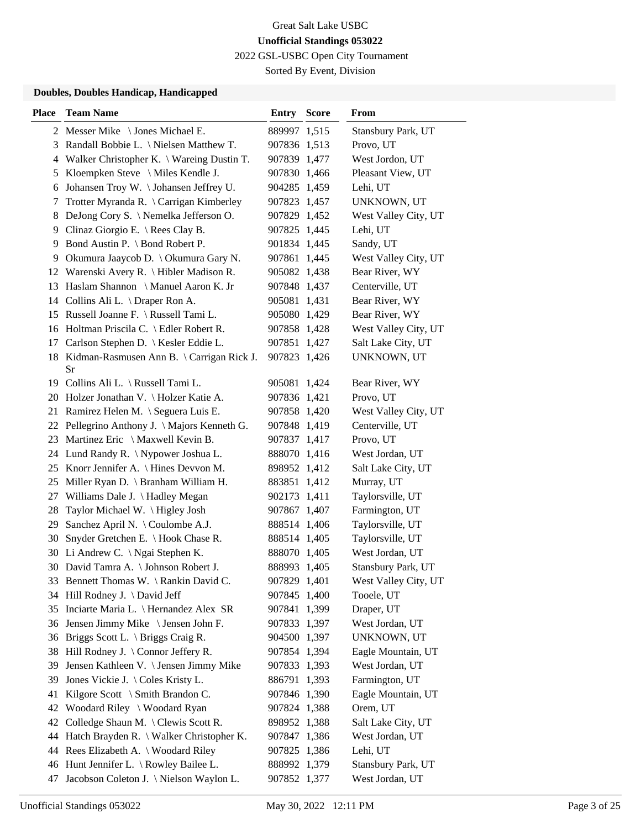2022 GSL-USBC Open City Tournament

Sorted By Event, Division

### **Doubles, Doubles Handicap, Handicapped**

| <b>Place</b> | <b>Team Name</b>                             | <b>Entry Score</b>           | From                 |
|--------------|----------------------------------------------|------------------------------|----------------------|
|              | 2 Messer Mike \ Jones Michael E.             | 889997 1,515                 | Stansbury Park, UT   |
| 3            | Randall Bobbie L. \ Nielsen Matthew T.       | 907836 1,513                 | Provo, UT            |
| 4            | Walker Christopher K. \ Wareing Dustin T.    | 907839 1,477                 | West Jordon, UT      |
| 5            | Kloempken Steve \ Miles Kendle J.            | 907830 1,466                 | Pleasant View, UT    |
| 6            | Johansen Troy W. \Johansen Jeffrey U.        | 904285 1,459                 | Lehi, UT             |
| 7            | Trotter Myranda R. \ Carrigan Kimberley      | 907823 1,457                 | UNKNOWN, UT          |
| 8            | DeJong Cory S. \Nemelka Jefferson O.         | 907829 1,452                 | West Valley City, UT |
| 9.           | Clinaz Giorgio E. \ Rees Clay B.             | 907825 1,445                 | Lehi, UT             |
| 9            | Bond Austin P. \ Bond Robert P.              | 901834 1,445                 | Sandy, UT            |
| 9            | Okumura Jaaycob D. \ Okumura Gary N.         | 907861 1,445                 | West Valley City, UT |
|              | 12 Warenski Avery R. \ Hibler Madison R.     | 905082 1,438                 | Bear River, WY       |
| 13           | Haslam Shannon \ Manuel Aaron K. Jr          | 907848 1,437                 | Centerville, UT      |
|              | 14 Collins Ali L. \ Draper Ron A.            | 905081 1,431                 | Bear River, WY       |
|              | 15 Russell Joanne F. \ Russell Tami L.       | 905080 1,429                 | Bear River, WY       |
|              | 16 Holtman Priscila C. \ Edler Robert R.     | 907858 1,428                 | West Valley City, UT |
|              | 17 Carlson Stephen D.   Kesler Eddie L.      | 907851 1,427                 | Salt Lake City, UT   |
|              | 18 Kidman-Rasmusen Ann B. \ Carrigan Rick J. | 907823 1,426                 | UNKNOWN, UT          |
|              | Sr                                           |                              | Bear River, WY       |
|              | 19 Collins Ali L. \ Russell Tami L.          | 905081 1,424<br>907836 1,421 | Provo, UT            |
|              | 20 Holzer Jonathan V. \Holzer Katie A.       | 907858 1,420                 |                      |
|              | 21 Ramirez Helen M. \ Seguera Luis E.        |                              | West Valley City, UT |
|              | 22 Pellegrino Anthony J. \ Majors Kenneth G. | 907848 1,419                 | Centerville, UT      |
|              | 23 Martinez Eric \ Maxwell Kevin B.          | 907837 1,417                 | Provo, UT            |
|              | 24 Lund Randy R. \ Nypower Joshua L.         | 888070 1,416                 | West Jordan, UT      |
|              | 25 Knorr Jennifer A. \ Hines Devvon M.       | 898952 1,412                 | Salt Lake City, UT   |
| 25           | Miller Ryan D. \ Branham William H.          | 883851 1,412                 | Murray, UT           |
| 27           | Williams Dale J. \ Hadley Megan              | 902173 1,411                 | Taylorsville, UT     |
| 28           | Taylor Michael W. \Higley Josh               | 907867 1,407                 | Farmington, UT       |
| 29           | Sanchez April N. \ Coulombe A.J.             | 888514 1,406                 | Taylorsville, UT     |
| 30           | Snyder Gretchen E. \ Hook Chase R.           | 888514 1,405                 | Taylorsville, UT     |
|              | 30 Li Andrew C. \ Ngai Stephen K.            | 888070 1,405                 | West Jordan, UT      |
|              | 30 David Tamra A. \ Johnson Robert J.        | 888993 1,405                 | Stansbury Park, UT   |
|              | 33 Bennett Thomas W. \ Rankin David C.       | 907829 1,401                 | West Valley City, UT |
|              | 34 Hill Rodney J. \David Jeff                | 907845 1,400                 | Tooele, UT           |
|              | 35 Inciarte Maria L. \ Hernandez Alex SR     | 907841 1,399                 | Draper, UT           |
| 36           | Jensen Jimmy Mike \ Jensen John F.           | 907833 1,397                 | West Jordan, UT      |
|              | 36 Briggs Scott L. \ Briggs Craig R.         | 904500 1,397                 | UNKNOWN, UT          |
| 38           | Hill Rodney J. $\setminus$ Connor Jeffery R. | 907854 1,394                 | Eagle Mountain, UT   |
| 39           | Jensen Kathleen V. \ Jensen Jimmy Mike       | 907833 1,393                 | West Jordan, UT      |
| 39           | Jones Vickie J. \Coles Kristy L.             | 886791 1,393                 | Farmington, UT       |
| 41           | Kilgore Scott \ Smith Brandon C.             | 907846 1,390                 | Eagle Mountain, UT   |
| 42           | Woodard Riley \ Woodard Ryan                 | 907824 1,388                 | Orem, UT             |
| 42           | Colledge Shaun M. \ Clewis Scott R.          | 898952 1,388                 | Salt Lake City, UT   |
| 44           | Hatch Brayden R. \ Walker Christopher K.     | 907847 1,386                 | West Jordan, UT      |
|              | 44 Rees Elizabeth A. \ Woodard Riley         | 907825 1,386                 | Lehi, UT             |
|              | 46 Hunt Jennifer L. \ Rowley Bailee L.       | 888992 1,379                 | Stansbury Park, UT   |
| 47           | Jacobson Coleton J. \ Nielson Waylon L.      | 907852 1,377                 | West Jordan, UT      |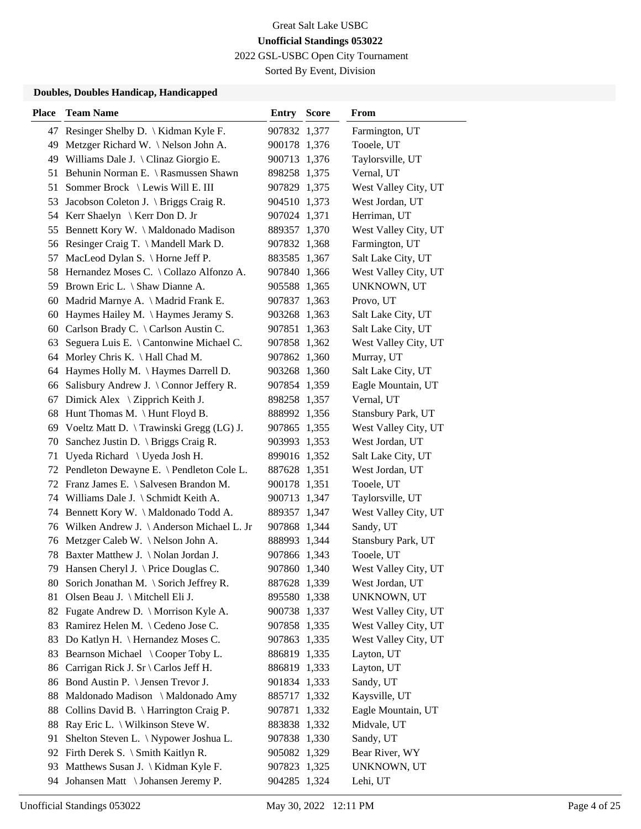2022 GSL-USBC Open City Tournament

Sorted By Event, Division

### **Doubles, Doubles Handicap, Handicapped**

| <b>Place</b> | <b>Team Name</b>                             | <b>Entry Score</b> | From                 |
|--------------|----------------------------------------------|--------------------|----------------------|
|              | 47 Resinger Shelby D.   Kidman Kyle F.       | 907832 1,377       | Farmington, UT       |
| 49           | Metzger Richard W. \Nelson John A.           | 900178 1,376       | Tooele, UT           |
| 49           | Williams Dale J. \ Clinaz Giorgio E.         | 900713 1,376       | Taylorsville, UT     |
| 51           | Behunin Norman E. \ Rasmussen Shawn          | 898258 1,375       | Vernal, UT           |
| 51           | Sommer Brock \ Lewis Will E. III             | 907829 1,375       | West Valley City, UT |
| 53           | Jacobson Coleton J. \ Briggs Craig R.        | 904510 1,373       | West Jordan, UT      |
|              | 54 Kerr Shaelyn \ Kerr Don D. Jr             | 907024 1,371       | Herriman, UT         |
|              | 55 Bennett Kory W. \ Maldonado Madison       | 889357 1,370       | West Valley City, UT |
|              | 56 Resinger Craig T. \Mandell Mark D.        | 907832 1,368       | Farmington, UT       |
| 57           | MacLeod Dylan S. \ Horne Jeff P.             | 883585 1,367       | Salt Lake City, UT   |
| 58           | Hernandez Moses C. \ Collazo Alfonzo A.      | 907840 1,366       | West Valley City, UT |
|              | 59 Brown Eric L. \ Shaw Dianne A.            | 905588 1,365       | UNKNOWN, UT          |
|              | 60 Madrid Marnye A. \ Madrid Frank E.        | 907837 1,363       | Provo, UT            |
| 60           | Haymes Hailey M. \Haymes Jeramy S.           | 903268 1,363       | Salt Lake City, UT   |
| 60           | Carlson Brady C. \ Carlson Austin C.         | 907851 1,363       | Salt Lake City, UT   |
| 63           | Seguera Luis E. \ Cantonwine Michael C.      | 907858 1,362       | West Valley City, UT |
|              | 64 Morley Chris K. \ Hall Chad M.            | 907862 1,360       | Murray, UT           |
| 64           | Haymes Holly M. \ Haymes Darrell D.          | 903268 1,360       | Salt Lake City, UT   |
| 66           | Salisbury Andrew J. \ Connor Jeffery R.      | 907854 1,359       | Eagle Mountain, UT   |
| 67           | Dimick Alex \ Zipprich Keith J.              | 898258 1,357       | Vernal, UT           |
| 68           | Hunt Thomas M. $\{$ Hunt Floyd B.            | 888992 1,356       | Stansbury Park, UT   |
|              | 69 Voeltz Matt D. \ Trawinski Gregg (LG) J.  | 907865 1,355       | West Valley City, UT |
| 70           | Sanchez Justin D. $\langle$ Briggs Craig R.  | 903993 1,353       | West Jordan, UT      |
| 71           | Uyeda Richard \ Uyeda Josh H.                | 899016 1,352       | Salt Lake City, UT   |
|              | 72 Pendleton Dewayne E. \ Pendleton Cole L.  | 887628 1,351       | West Jordan, UT      |
|              | 72 Franz James E. \ Salvesen Brandon M.      | 900178 1,351       | Tooele, UT           |
|              | 74 Williams Dale J. \ Schmidt Keith A.       | 900713 1,347       | Taylorsville, UT     |
|              | 74 Bennett Kory W. \ Maldonado Todd A.       | 889357 1,347       | West Valley City, UT |
|              | 76 Wilken Andrew J. \ Anderson Michael L. Jr | 907868 1,344       | Sandy, UT            |
| 76           | Metzger Caleb W. \Nelson John A.             | 888993 1,344       | Stansbury Park, UT   |
| 78           | Baxter Matthew J. \Nolan Jordan J.           | 907866 1,343       | Tooele, UT           |
| 79           | Hansen Cheryl J. $\langle$ Price Douglas C.  | 907860 1,340       | West Valley City, UT |
| 80           | Sorich Jonathan M. \ Sorich Jeffrey R.       | 887628 1,339       | West Jordan, UT      |
| 81           | Olsen Beau J. \ Mitchell Eli J.              | 895580 1,338       | UNKNOWN, UT          |
| 82           | Fugate Andrew D. \ Morrison Kyle A.          | 900738 1,337       | West Valley City, UT |
| 83           | Ramirez Helen M. \ Cedeno Jose C.            | 907858 1,335       | West Valley City, UT |
| 83           | Do Katlyn H. \ Hernandez Moses C.            | 907863 1,335       | West Valley City, UT |
| 83           | Bearnson Michael \ Cooper Toby L.            | 886819 1,335       | Layton, UT           |
| 86           | Carrigan Rick J. Sr \ Carlos Jeff H.         | 886819 1,333       | Layton, UT           |
| 86           | Bond Austin P. \ Jensen Trevor J.            | 901834 1,333       | Sandy, UT            |
| 88           | Maldonado Madison \ Maldonado Amy            | 885717 1,332       | Kaysville, UT        |
| 88           | Collins David B. \ Harrington Craig P.       | 907871 1,332       | Eagle Mountain, UT   |
| 88           | Ray Eric L. \ Wilkinson Steve W.             | 883838 1,332       | Midvale, UT          |
| 91           | Shelton Steven L. \ Nypower Joshua L.        | 907838 1,330       | Sandy, UT            |
| 92           | Firth Derek S. \ Smith Kaitlyn R.            | 905082 1,329       | Bear River, WY       |
| 93           | Matthews Susan J. \ Kidman Kyle F.           | 907823 1,325       | UNKNOWN, UT          |
| 94           | Johansen Matt \ Johansen Jeremy P.           | 904285 1,324       | Lehi, UT             |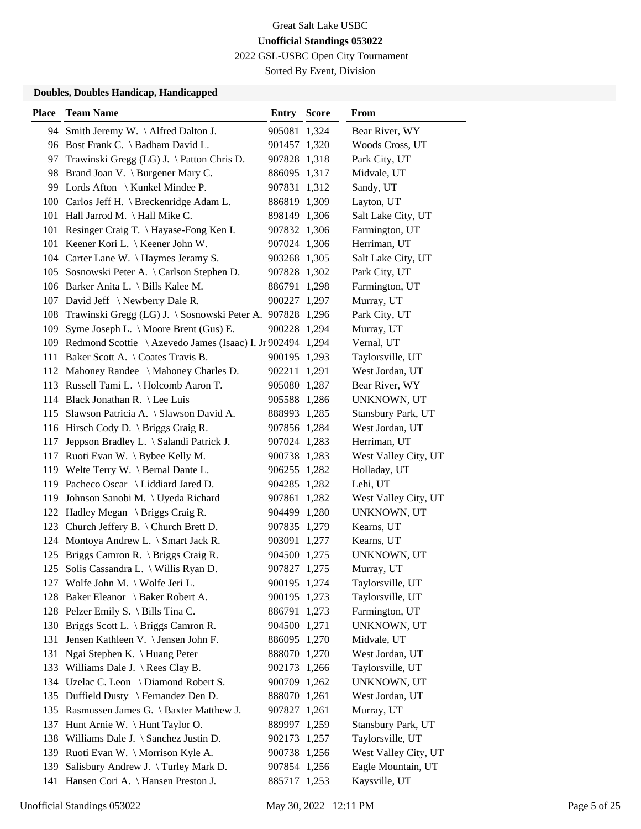2022 GSL-USBC Open City Tournament

Sorted By Event, Division

### **Doubles, Doubles Handicap, Handicapped**

| <b>Place</b> | <b>Team Name</b>                                               | <b>Entry Score</b> | From                 |
|--------------|----------------------------------------------------------------|--------------------|----------------------|
|              | 94 Smith Jeremy W. \Alfred Dalton J.                           | 905081 1,324       | Bear River, WY       |
|              | 96 Bost Frank C. \ Badham David L.                             | 901457 1,320       | Woods Cross, UT      |
| 97           | Trawinski Gregg (LG) J. \ Patton Chris D.                      | 907828 1,318       | Park City, UT        |
|              | 98 Brand Joan V. \ Burgener Mary C.                            | 886095 1,317       | Midvale, UT          |
|              | 99 Lords Afton \ Kunkel Mindee P.                              | 907831 1,312       | Sandy, UT            |
|              | 100 Carlos Jeff H. \ Breckenridge Adam L.                      | 886819 1,309       | Layton, UT           |
|              | 101 Hall Jarrod M. \ Hall Mike C.                              | 898149 1,306       | Salt Lake City, UT   |
|              | 101 Resinger Craig T. \ Hayase-Fong Ken I.                     | 907832 1,306       | Farmington, UT       |
|              | 101 Keener Kori L. \ Keener John W.                            | 907024 1,306       | Herriman, UT         |
|              | 104 Carter Lane W. \ Haymes Jeramy S.                          | 903268 1,305       | Salt Lake City, UT   |
|              | 105 Sosnowski Peter A. \ Carlson Stephen D.                    | 907828 1,302       | Park City, UT        |
|              | 106 Barker Anita L. \ Bills Kalee M.                           | 886791 1,298       | Farmington, UT       |
|              | 107 David Jeff \Newberry Dale R.                               | 900227 1,297       | Murray, UT           |
| 108          | Trawinski Gregg (LG) J. \ Sosnowski Peter A. 907828 1,296      |                    | Park City, UT        |
| 109          | Syme Joseph L. \ Moore Brent (Gus) E.                          | 900228 1,294       | Murray, UT           |
|              | 109 Redmond Scottie \ Azevedo James (Isaac) I. Jr 902494 1,294 |                    | Vernal, UT           |
|              | 111 Baker Scott A. \ Coates Travis B.                          | 900195 1,293       | Taylorsville, UT     |
|              | 112 Mahoney Randee \ Mahoney Charles D.                        | 902211 1,291       | West Jordan, UT      |
|              | 113 Russell Tami L. \ Holcomb Aaron T.                         | 905080 1,287       | Bear River, WY       |
|              | 114 Black Jonathan R. \ Lee Luis                               | 905588 1,286       | UNKNOWN, UT          |
|              | 115 Slawson Patricia A. \ Slawson David A.                     | 888993 1,285       | Stansbury Park, UT   |
|              | 116 Hirsch Cody D. \ Briggs Craig R.                           | 907856 1,284       | West Jordan, UT      |
| 117          | Jeppson Bradley L. \ Salandi Patrick J.                        | 907024 1,283       | Herriman, UT         |
|              | 117 Ruoti Evan W. \ Bybee Kelly M.                             | 900738 1,283       | West Valley City, UT |
|              | 119 Welte Terry W. \ Bernal Dante L.                           | 906255 1,282       | Holladay, UT         |
|              | 119 Pacheco Oscar \ Liddiard Jared D.                          | 904285 1,282       | Lehi, UT             |
| 119          | Johnson Sanobi M. \ Uyeda Richard                              | 907861 1,282       | West Valley City, UT |
|              | 122 Hadley Megan \ Briggs Craig R.                             | 904499 1,280       | UNKNOWN, UT          |
|              | 123 Church Jeffery B. \ Church Brett D.                        | 907835 1,279       | Kearns, UT           |
| 124          | Montoya Andrew L. \ Smart Jack R.                              | 903091 1,277       | Kearns, UT           |
|              | 125 Briggs Camron R. \ Briggs Craig R.                         | 904500 1,275       | UNKNOWN, UT          |
|              | 125 Solis Cassandra L. \ Willis Ryan D.                        | 907827 1,275       | Murray, UT           |
|              | 127 Wolfe John M. \ Wolfe Jeri L.                              | 900195 1,274       | Taylorsville, UT     |
|              | 128 Baker Eleanor \ Baker Robert A.                            | 900195 1,273       | Taylorsville, UT     |
|              | 128 Pelzer Emily S. \ Bills Tina C.                            | 886791 1,273       | Farmington, UT       |
|              | 130 Briggs Scott L. \ Briggs Camron R.                         | 904500 1,271       | UNKNOWN, UT          |
| 131          | Jensen Kathleen V. \ Jensen John F.                            | 886095 1,270       | Midvale, UT          |
| 131          | Ngai Stephen K. \ Huang Peter                                  | 888070 1,270       | West Jordan, UT      |
| 133          | Williams Dale J. $\Re$ Rees Clay B.                            | 902173 1,266       | Taylorsville, UT     |
|              | 134 Uzelac C. Leon \ Diamond Robert S.                         | 900709 1,262       | UNKNOWN, UT          |
|              | 135 Duffield Dusty \ Fernandez Den D.                          | 888070 1,261       | West Jordan, UT      |
|              | 135 Rasmussen James G. \ Baxter Matthew J.                     | 907827 1,261       | Murray, UT           |
| 137          | Hunt Arnie W. \ Hunt Taylor O.                                 | 889997 1,259       | Stansbury Park, UT   |
|              | 138 Williams Dale J. \ Sanchez Justin D.                       | 902173 1,257       | Taylorsville, UT     |
|              | 139 Ruoti Evan W. \ Morrison Kyle A.                           | 900738 1,256       | West Valley City, UT |
| 139          | Salisbury Andrew J. \Turley Mark D.                            | 907854 1,256       | Eagle Mountain, UT   |
|              | 141 Hansen Cori A. \ Hansen Preston J.                         | 885717 1,253       | Kaysville, UT        |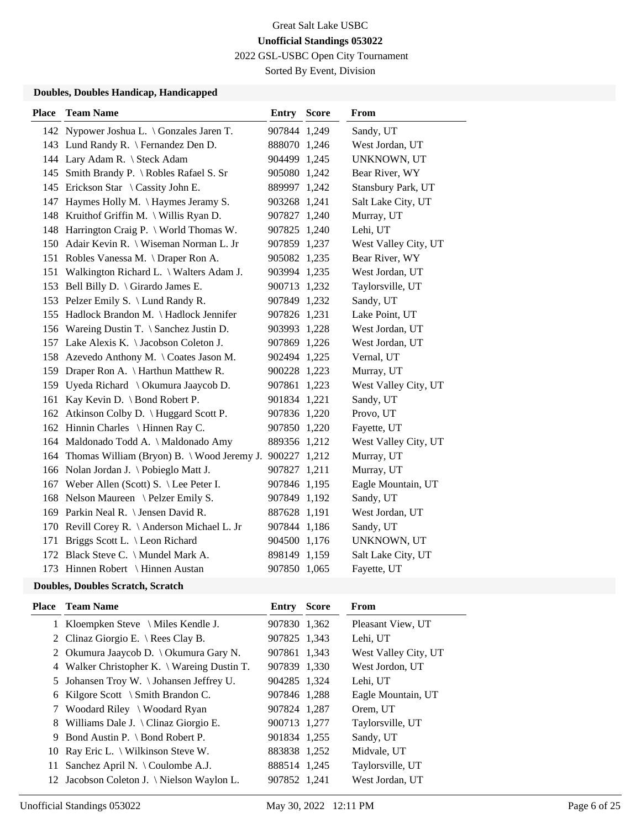2022 GSL-USBC Open City Tournament

Sorted By Event, Division

### **Doubles, Doubles Handicap, Handicapped**

| <b>Place</b> | <b>Team Name</b>                               | <b>Entry Score</b> | <b>From</b>          |
|--------------|------------------------------------------------|--------------------|----------------------|
|              | 142 Nypower Joshua L. \ Gonzales Jaren T.      | 907844 1,249       | Sandy, UT            |
|              | 143 Lund Randy R. \ Fernandez Den D.           | 888070 1,246       | West Jordan, UT      |
|              | 144 Lary Adam R. \ Steck Adam                  | 904499 1,245       | UNKNOWN, UT          |
|              | 145 Smith Brandy P. \ Robles Rafael S. Sr      | 905080 1,242       | Bear River, WY       |
|              | 145 Erickson Star \ Cassity John E.            | 889997 1,242       | Stansbury Park, UT   |
| 147          | Haymes Holly M. \Haymes Jeramy S.              | 903268 1,241       | Salt Lake City, UT   |
|              | 148 Kruithof Griffin M. \ Willis Ryan D.       | 907827 1,240       | Murray, UT           |
|              | 148 Harrington Craig P. \ World Thomas W.      | 907825 1,240       | Lehi, UT             |
|              | 150 Adair Kevin R. \ Wiseman Norman L. Jr      | 907859 1,237       | West Valley City, UT |
|              | 151 Robles Vanessa M. \Draper Ron A.           | 905082 1,235       | Bear River, WY       |
|              | 151 Walkington Richard L. \ Walters Adam J.    | 903994 1,235       | West Jordan, UT      |
|              | 153 Bell Billy D. \ Girardo James E.           | 900713 1,232       | Taylorsville, UT     |
|              | 153 Pelzer Emily S. \ Lund Randy R.            | 907849 1,232       | Sandy, UT            |
|              | 155 Hadlock Brandon M. \ Hadlock Jennifer      | 907826 1,231       | Lake Point, UT       |
|              | 156 Wareing Dustin T. \ Sanchez Justin D.      | 903993 1,228       | West Jordan, UT      |
|              | 157 Lake Alexis K. \ Jacobson Coleton J.       | 907869 1,226       | West Jordan, UT      |
|              | 158 Azevedo Anthony M. \ Coates Jason M.       | 902494 1,225       | Vernal, UT           |
|              | 159 Draper Ron A. \ Harthun Matthew R.         | 900228 1,223       | Murray, UT           |
|              | 159 Uyeda Richard \ Okumura Jaaycob D.         | 907861 1,223       | West Valley City, UT |
| 161          | Kay Kevin D. $\setminus$ Bond Robert P.        | 901834 1,221       | Sandy, UT            |
|              | 162 Atkinson Colby D. \ Huggard Scott P.       | 907836 1,220       | Provo, UT            |
|              | 162 Hinnin Charles \ Hinnen Ray C.             | 907850 1,220       | Fayette, UT          |
|              | 164 Maldonado Todd A. \ Maldonado Amy          | 889356 1,212       | West Valley City, UT |
|              | 164 Thomas William (Bryon) B. \ Wood Jeremy J. | 900227 1,212       | Murray, UT           |
|              | 166 Nolan Jordan J. \Pobieglo Matt J.          | 907827 1,211       | Murray, UT           |
|              | 167 Weber Allen (Scott) S. \ Lee Peter I.      | 907846 1,195       | Eagle Mountain, UT   |
|              | 168 Nelson Maureen \ Pelzer Emily S.           | 907849 1,192       | Sandy, UT            |
|              | 169 Parkin Neal R. \ Jensen David R.           | 887628 1,191       | West Jordan, UT      |
|              | 170 Revill Corey R. \ Anderson Michael L. Jr   | 907844 1,186       | Sandy, UT            |
| 171          | Briggs Scott L. \ Leon Richard                 | 904500 1,176       | UNKNOWN, UT          |
|              | 172 Black Steve C. \ Mundel Mark A.            | 898149 1,159       | Salt Lake City, UT   |
|              | 173 Hinnen Robert \ Hinnen Austan              | 907850 1,065       | Fayette, UT          |

# **Doubles, Doubles Scratch, Scratch**

| Place | <b>Team Name</b>                            | Entry        | <b>Score</b> | From                 |
|-------|---------------------------------------------|--------------|--------------|----------------------|
|       | 1 Kloempken Steve \ Miles Kendle J.         | 907830 1,362 |              | Pleasant View, UT    |
|       | 2 Clinaz Giorgio E. \ Rees Clay B.          | 907825 1,343 |              | Lehi, UT             |
|       | 2 Okumura Jaaycob D. \ Okumura Gary N.      | 907861 1,343 |              | West Valley City, UT |
|       | 4 Walker Christopher K. \ Wareing Dustin T. | 907839 1,330 |              | West Jordon, UT      |
|       | 5 Johansen Troy W. \Johansen Jeffrey U.     | 904285 1,324 |              | Lehi, UT             |
|       | 6 Kilgore Scott \ Smith Brandon C.          | 907846 1,288 |              | Eagle Mountain, UT   |
|       | 7 Woodard Riley \ Woodard Ryan              | 907824 1,287 |              | Orem, UT             |
|       | 8 Williams Dale J. \Clinaz Giorgio E.       | 900713 1,277 |              | Taylorsville, UT     |
|       | 9 Bond Austin P. \ Bond Robert P.           | 901834 1,255 |              | Sandy, UT            |
|       | 10 Ray Eric L. $\forall$ Wilkinson Steve W. | 883838 1,252 |              | Midvale, UT          |
| 11    | Sanchez April N. $\setminus$ Coulombe A.J.  | 888514 1,245 |              | Taylorsville, UT     |
|       | 12 Jacobson Coleton J. \ Nielson Waylon L.  | 907852 1,241 |              | West Jordan, UT      |
|       |                                             |              |              |                      |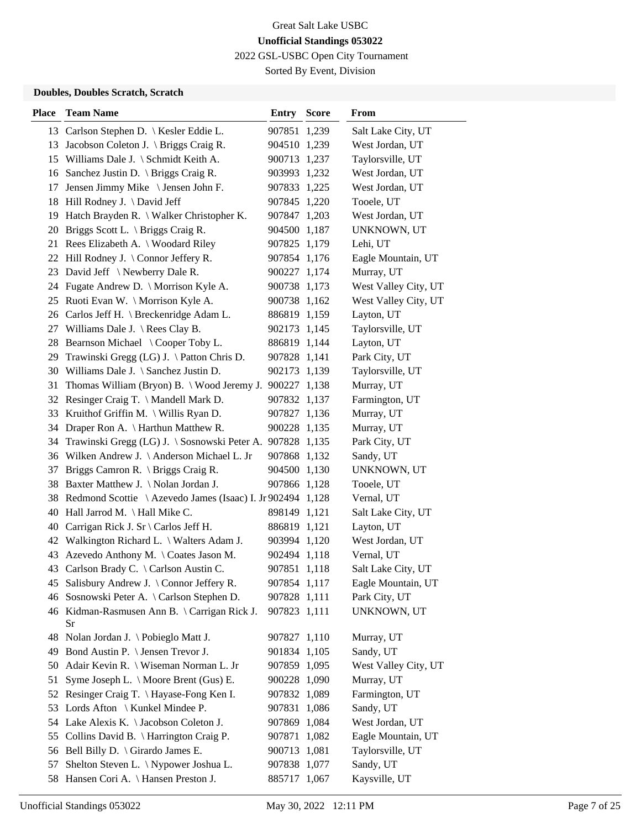2022 GSL-USBC Open City Tournament

Sorted By Event, Division

### **Doubles, Doubles Scratch, Scratch**

| <b>Place</b> | <b>Team Name</b>                                              | <b>Entry Score</b> |       | From                 |
|--------------|---------------------------------------------------------------|--------------------|-------|----------------------|
|              | 13 Carlson Stephen D.   Kesler Eddie L.                       | 907851 1,239       |       | Salt Lake City, UT   |
|              | 13 Jacobson Coleton J. \ Briggs Craig R.                      | 904510 1,239       |       | West Jordan, UT      |
|              | 15 Williams Dale J. \ Schmidt Keith A.                        | 900713 1,237       |       | Taylorsville, UT     |
|              | 16 Sanchez Justin D. \ Briggs Craig R.                        | 903993 1,232       |       | West Jordan, UT      |
| 17           | Jensen Jimmy Mike \ Jensen John F.                            | 907833 1,225       |       | West Jordan, UT      |
|              | 18 Hill Rodney J. \ David Jeff                                | 907845 1,220       |       | Tooele, UT           |
|              | 19 Hatch Brayden R. \ Walker Christopher K.                   | 907847 1,203       |       | West Jordan, UT      |
|              | 20 Briggs Scott L. \ Briggs Craig R.                          | 904500 1,187       |       | UNKNOWN, UT          |
|              | 21 Rees Elizabeth A. \ Woodard Riley                          | 907825 1,179       |       | Lehi, UT             |
|              | 22 Hill Rodney J. \ Connor Jeffery R.                         | 907854 1,176       |       | Eagle Mountain, UT   |
| 23           | David Jeff \Newberry Dale R.                                  | 900227 1,174       |       | Murray, UT           |
| 24           | Fugate Andrew D. \ Morrison Kyle A.                           | 900738 1,173       |       | West Valley City, UT |
|              | 25 Ruoti Evan W. \ Morrison Kyle A.                           | 900738 1,162       |       | West Valley City, UT |
|              | 26 Carlos Jeff H. \ Breckenridge Adam L.                      | 886819 1,159       |       | Layton, UT           |
|              | 27 Williams Dale J. \ Rees Clay B.                            | 902173 1,145       |       | Taylorsville, UT     |
|              | 28 Bearnson Michael \Cooper Toby L.                           | 886819 1,144       |       | Layton, UT           |
|              | 29 Trawinski Gregg (LG) J. \ Patton Chris D.                  | 907828 1,141       |       | Park City, UT        |
|              | 30 Williams Dale J. \ Sanchez Justin D.                       | 902173 1,139       |       | Taylorsville, UT     |
| 31           | Thomas William (Bryon) B. $\setminus$ Wood Jeremy J.          | 900227 1,138       |       | Murray, UT           |
|              | 32 Resinger Craig T. \Mandell Mark D.                         | 907832 1,137       |       | Farmington, UT       |
| 33           | Kruithof Griffin M. $\setminus$ Willis Ryan D.                | 907827 1,136       |       | Murray, UT           |
|              | 34 Draper Ron A. \ Harthun Matthew R.                         | 900228 1,135       |       | Murray, UT           |
| 34           | Trawinski Gregg (LG) J. \ Sosnowski Peter A. 907828 1,135     |                    |       | Park City, UT        |
|              | 36 Wilken Andrew J. \ Anderson Michael L. Jr                  | 907868 1,132       |       | Sandy, UT            |
| 37           | Briggs Camron R. \ Briggs Craig R.                            | 904500 1,130       |       | UNKNOWN, UT          |
|              | 38 Baxter Matthew J. \Nolan Jordan J.                         | 907866 1,128       |       | Tooele, UT           |
|              | 38 Redmond Scottie \ Azevedo James (Isaac) I. Jr 902494 1,128 |                    |       | Vernal, UT           |
|              | 40 Hall Jarrod M. \ Hall Mike C.                              | 898149 1,121       |       | Salt Lake City, UT   |
|              | 40 Carrigan Rick J. Sr \ Carlos Jeff H.                       | 886819 1,121       |       | Layton, UT           |
|              | 42 Walkington Richard L. \ Walters Adam J.                    | 903994 1,120       |       | West Jordan, UT      |
| 43           | Azevedo Anthony M. \Coates Jason M.                           | 902494 1,118       |       | Vernal, UT           |
|              | 43 Carlson Brady C. \ Carlson Austin C.                       | 907851 1,118       |       | Salt Lake City, UT   |
|              | 45 Salisbury Andrew J. \ Connor Jeffery R.                    | 907854 1,117       |       | Eagle Mountain, UT   |
| 46           | Sosnowski Peter A. \ Carlson Stephen D.                       | 907828 1,111       |       | Park City, UT        |
|              | 46 Kidman-Rasmusen Ann B. \ Carrigan Rick J.<br>Sr            | 907823 1,111       |       | UNKNOWN, UT          |
|              | 48 Nolan Jordan J. \ Pobieglo Matt J.                         | 907827 1,110       |       | Murray, UT           |
| 49           | Bond Austin P. $\setminus$ Jensen Trevor J.                   | 901834 1,105       |       | Sandy, UT            |
|              | 50 Adair Kevin R.   Wiseman Norman L. Jr                      | 907859 1,095       |       | West Valley City, UT |
| 51           | Syme Joseph L. \ Moore Brent (Gus) E.                         | 900228 1,090       |       | Murray, UT           |
| 52           | Resinger Craig T. \ Hayase-Fong Ken I.                        | 907832 1,089       |       | Farmington, UT       |
| 53           | Lords Afton \ Kunkel Mindee P.                                | 907831 1,086       |       | Sandy, UT            |
| 54           | Lake Alexis K. \ Jacobson Coleton J.                          | 907869 1,084       |       | West Jordan, UT      |
| 55           | Collins David B. \ Harrington Craig P.                        | 907871             | 1,082 | Eagle Mountain, UT   |
|              | 56 Bell Billy D. \ Girardo James E.                           | 900713 1,081       |       | Taylorsville, UT     |
| 57           | Shelton Steven L. \ Nypower Joshua L.                         | 907838 1,077       |       | Sandy, UT            |
|              | 58 Hansen Cori A. \ Hansen Preston J.                         | 885717 1,067       |       | Kaysville, UT        |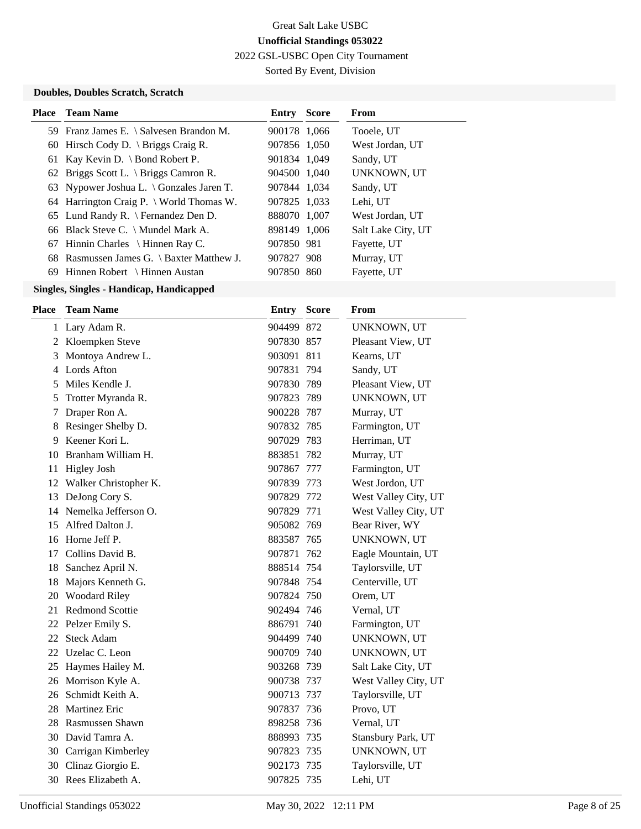2022 GSL-USBC Open City Tournament

Sorted By Event, Division

### **Doubles, Doubles Scratch, Scratch**

| <b>Place</b> Team Name                             | <b>Entry Score</b> | From               |
|----------------------------------------------------|--------------------|--------------------|
| 59 Franz James E. \ Salvesen Brandon M.            | 900178 1,066       | Tooele, UT         |
| 60 Hirsch Cody D. $\langle$ Briggs Craig R.        | 907856 1,050       | West Jordan, UT    |
| 61 Kay Kevin D. \ Bond Robert P.                   | 901834 1,049       | Sandy, UT          |
| 62 Briggs Scott L. \ Briggs Camron R.              | 904500 1,040       | UNKNOWN, UT        |
| 63 Nypower Joshua L. $\setminus$ Gonzales Jaren T. | 907844 1,034       | Sandy, UT          |
| 64 Harrington Craig P. $\forall$ World Thomas W.   | 907825 1,033       | Lehi, UT           |
| 65 Lund Randy R. \ Fernandez Den D.                | 888070 1,007       | West Jordan, UT    |
| 66 Black Steve C. \ Mundel Mark A.                 | 898149 1,006       | Salt Lake City, UT |
| 67 Hinnin Charles \ Hinnen Ray C.                  | 907850 981         | Fayette, UT        |
| 68 Rasmussen James G. \ Baxter Matthew J.          | 907827 908         | Murray, UT         |
| 69 Hinnen Robert \ Hinnen Austan                   | 907850 860         | Fayette, UT        |
|                                                    |                    |                    |

| <b>Place</b> | <b>Team Name</b>         | <b>Entry</b> | <b>Score</b> | From                 |
|--------------|--------------------------|--------------|--------------|----------------------|
|              | 1 Lary Adam R.           | 904499 872   |              | UNKNOWN, UT          |
|              | 2 Kloempken Steve        | 907830 857   |              | Pleasant View, UT    |
| 3            | Montoya Andrew L.        | 903091 811   |              | Kearns, UT           |
| 4            | Lords Afton              | 907831 794   |              | Sandy, UT            |
| 5            | Miles Kendle J.          | 907830 789   |              | Pleasant View, UT    |
| 5            | Trotter Myranda R.       | 907823 789   |              | UNKNOWN, UT          |
| 7            | Draper Ron A.            | 900228 787   |              | Murray, UT           |
| 8            | Resinger Shelby D.       | 907832 785   |              | Farmington, UT       |
| 9            | Keener Kori L.           | 907029 783   |              | Herriman, UT         |
| 10           | Branham William H.       | 883851 782   |              | Murray, UT           |
|              | 11 Higley Josh           | 907867 777   |              | Farmington, UT       |
|              | 12 Walker Christopher K. | 907839 773   |              | West Jordon, UT      |
| 13           | DeJong Cory S.           | 907829 772   |              | West Valley City, UT |
|              | 14 Nemelka Jefferson O.  | 907829 771   |              | West Valley City, UT |
| 15           | Alfred Dalton J.         | 905082 769   |              | Bear River, WY       |
| 16           | Horne Jeff P.            | 883587 765   |              | UNKNOWN, UT          |
| 17           | Collins David B.         | 907871 762   |              | Eagle Mountain, UT   |
| 18           | Sanchez April N.         | 888514 754   |              | Taylorsville, UT     |
|              | 18 Majors Kenneth G.     | 907848 754   |              | Centerville, UT      |
|              | 20 Woodard Riley         | 907824 750   |              | Orem, UT             |
|              | 21 Redmond Scottie       | 902494 746   |              | Vernal, UT           |
|              | 22 Pelzer Emily S.       | 886791 740   |              | Farmington, UT       |
| 22           | <b>Steck Adam</b>        | 904499 740   |              | UNKNOWN, UT          |
|              | 22 Uzelac C. Leon        | 900709 740   |              | UNKNOWN, UT          |
|              | 25 Haymes Hailey M.      | 903268 739   |              | Salt Lake City, UT   |
|              | 26 Morrison Kyle A.      | 900738 737   |              | West Valley City, UT |
|              | 26 Schmidt Keith A.      | 900713 737   |              | Taylorsville, UT     |
| 28           | <b>Martinez Eric</b>     | 907837 736   |              | Provo, UT            |
| 28           | Rasmussen Shawn          | 898258 736   |              | Vernal, UT           |
|              | 30 David Tamra A.        | 888993 735   |              | Stansbury Park, UT   |
|              | 30 Carrigan Kimberley    | 907823 735   |              | UNKNOWN, UT          |
|              | 30 Clinaz Giorgio E.     | 902173 735   |              | Taylorsville, UT     |
|              | 30 Rees Elizabeth A.     | 907825 735   |              | Lehi, UT             |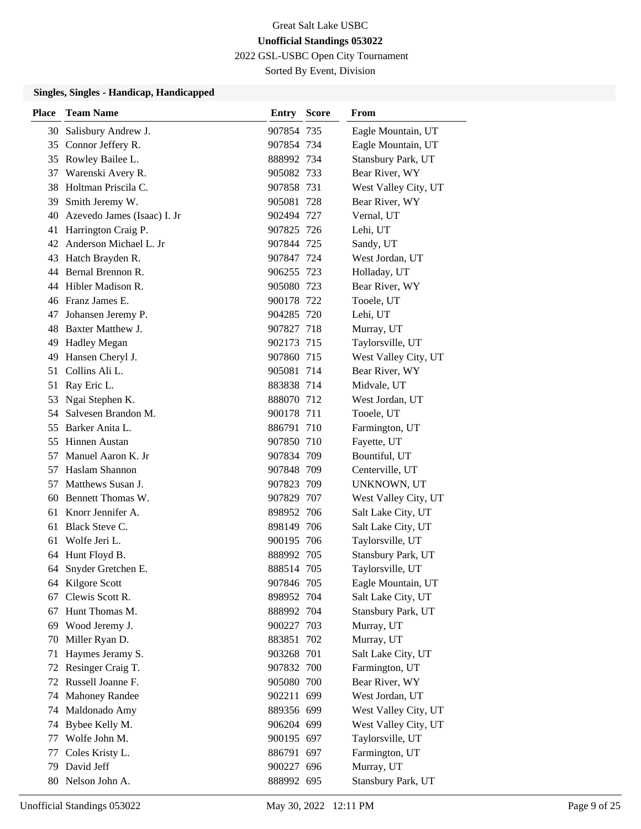2022 GSL-USBC Open City Tournament

Sorted By Event, Division

| 30 Salisbury Andrew J.<br>907854 735<br>Eagle Mountain, UT<br>35 Connor Jeffery R.<br>907854 734<br>Eagle Mountain, UT<br>35 Rowley Bailee L.<br>Stansbury Park, UT<br>888992 734<br>Bear River, WY<br>Warenski Avery R.<br>905082 733<br>37 |                      |
|----------------------------------------------------------------------------------------------------------------------------------------------------------------------------------------------------------------------------------------------|----------------------|
|                                                                                                                                                                                                                                              |                      |
|                                                                                                                                                                                                                                              |                      |
|                                                                                                                                                                                                                                              |                      |
|                                                                                                                                                                                                                                              |                      |
| Holtman Priscila C.<br>West Valley City, UT<br>38<br>907858 731                                                                                                                                                                              |                      |
| Smith Jeremy W.<br>905081 728<br>Bear River, WY<br>39                                                                                                                                                                                        |                      |
| Azevedo James (Isaac) I. Jr<br>Vernal, UT<br>902494 727<br>40                                                                                                                                                                                |                      |
| Harrington Craig P.<br>Lehi, UT<br>41<br>907825 726                                                                                                                                                                                          |                      |
| Anderson Michael L. Jr<br>42<br>907844 725<br>Sandy, UT                                                                                                                                                                                      |                      |
| West Jordan, UT<br>Hatch Brayden R.<br>907847 724<br>43                                                                                                                                                                                      |                      |
| 44 Bernal Brennon R.<br>906255 723<br>Holladay, UT                                                                                                                                                                                           |                      |
| Hibler Madison R.<br>Bear River, WY<br>905080 723<br>44                                                                                                                                                                                      |                      |
| 46 Franz James E.<br>Tooele, UT<br>900178 722                                                                                                                                                                                                |                      |
| Johansen Jeremy P.<br>904285 720<br>Lehi, UT<br>47                                                                                                                                                                                           |                      |
| Baxter Matthew J.<br>907827 718<br>Murray, UT<br>48                                                                                                                                                                                          |                      |
| Taylorsville, UT<br><b>Hadley Megan</b><br>49<br>902173 715                                                                                                                                                                                  |                      |
| Hansen Cheryl J.<br>49<br>907860 715                                                                                                                                                                                                         | West Valley City, UT |
| Collins Ali L.<br>Bear River, WY<br>51<br>905081 714                                                                                                                                                                                         |                      |
| Ray Eric L.<br>883838 714<br>Midvale, UT<br>51                                                                                                                                                                                               |                      |
| Ngai Stephen K.<br>53<br>888070 712<br>West Jordan, UT                                                                                                                                                                                       |                      |
| Salvesen Brandon M.<br>Tooele, UT<br>54<br>900178 711                                                                                                                                                                                        |                      |
| Barker Anita L.<br>Farmington, UT<br>886791 710<br>55                                                                                                                                                                                        |                      |
| 55 Hinnen Austan<br>907850 710<br>Fayette, UT                                                                                                                                                                                                |                      |
| Manuel Aaron K. Jr<br>907834 709<br>Bountiful, UT<br>57                                                                                                                                                                                      |                      |
| Haslam Shannon<br>907848 709<br>Centerville, UT<br>57                                                                                                                                                                                        |                      |
| Matthews Susan J.<br>907823 709<br>57<br>UNKNOWN, UT                                                                                                                                                                                         |                      |
| Bennett Thomas W.<br>907829 707<br>60                                                                                                                                                                                                        | West Valley City, UT |
| 61 Knorr Jennifer A.<br>898952 706<br>Salt Lake City, UT                                                                                                                                                                                     |                      |
| Black Steve C.<br>Salt Lake City, UT<br>61<br>898149 706                                                                                                                                                                                     |                      |
| Wolfe Jeri L.<br>Taylorsville, UT<br>61<br>900195 706                                                                                                                                                                                        |                      |
| Hunt Floyd B.<br>Stansbury Park, UT<br>64<br>888992 705                                                                                                                                                                                      |                      |
| 64 Snyder Gretchen E.<br>888514 705<br>Taylorsville, UT                                                                                                                                                                                      |                      |
| 64 Kilgore Scott<br>907846 705<br>Eagle Mountain, UT                                                                                                                                                                                         |                      |
| Clewis Scott R.<br>Salt Lake City, UT<br>898952 704<br>67                                                                                                                                                                                    |                      |
| Hunt Thomas M.<br>Stansbury Park, UT<br>888992 704<br>67                                                                                                                                                                                     |                      |
| Wood Jeremy J.<br>Murray, UT<br>900227 703<br>69                                                                                                                                                                                             |                      |
| Miller Ryan D.<br>Murray, UT<br>883851 702<br>70                                                                                                                                                                                             |                      |
| Haymes Jeramy S.<br>Salt Lake City, UT<br>903268 701<br>71                                                                                                                                                                                   |                      |
| Resinger Craig T.<br>907832 700<br>Farmington, UT<br>72                                                                                                                                                                                      |                      |
| Russell Joanne F.<br>Bear River, WY<br>905080 700<br>72                                                                                                                                                                                      |                      |
| <b>Mahoney Randee</b><br>West Jordan, UT<br>902211 699<br>74                                                                                                                                                                                 |                      |
| Maldonado Amy<br>889356 699<br>74                                                                                                                                                                                                            | West Valley City, UT |
| Bybee Kelly M.<br>906204 699<br>74                                                                                                                                                                                                           | West Valley City, UT |
| Wolfe John M.<br>Taylorsville, UT<br>900195 697<br>77                                                                                                                                                                                        |                      |
| Coles Kristy L.<br>Farmington, UT<br>886791 697<br>77                                                                                                                                                                                        |                      |
| David Jeff<br>Murray, UT<br>900227 696<br>79                                                                                                                                                                                                 |                      |
| Nelson John A.<br>Stansbury Park, UT<br>888992 695<br>80                                                                                                                                                                                     |                      |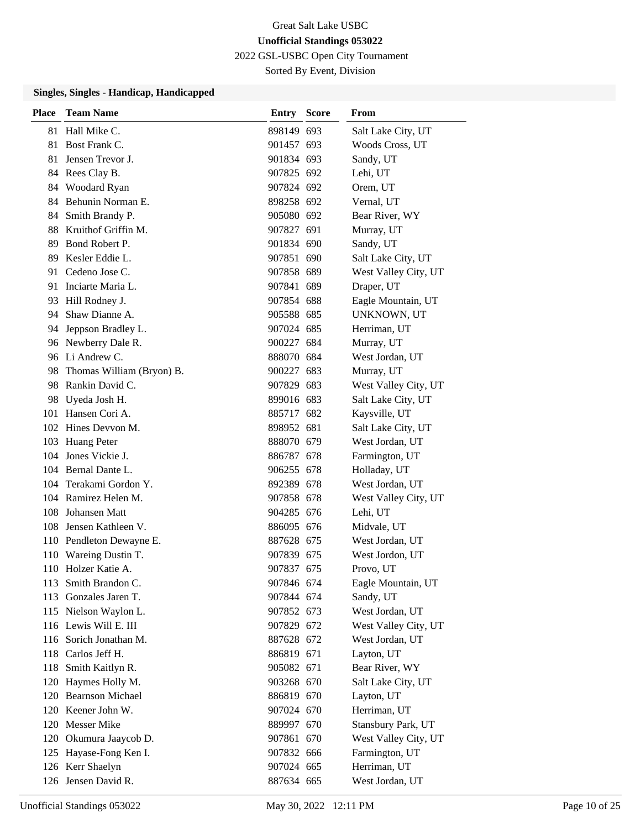2022 GSL-USBC Open City Tournament

Sorted By Event, Division

| <b>Place</b> | <b>Team Name</b>          | Entry      | <b>Score</b> | From                 |
|--------------|---------------------------|------------|--------------|----------------------|
|              | 81 Hall Mike C.           | 898149 693 |              | Salt Lake City, UT   |
| 81           | Bost Frank C.             | 901457 693 |              | Woods Cross, UT      |
| 81           | Jensen Trevor J.          | 901834 693 |              | Sandy, UT            |
|              | 84 Rees Clay B.           | 907825 692 |              | Lehi, UT             |
|              | 84 Woodard Ryan           | 907824 692 |              | Orem, UT             |
|              | 84 Behunin Norman E.      | 898258 692 |              | Vernal, UT           |
|              | 84 Smith Brandy P.        | 905080 692 |              | Bear River, WY       |
|              | 88 Kruithof Griffin M.    | 907827 691 |              | Murray, UT           |
|              | 89 Bond Robert P.         | 901834 690 |              | Sandy, UT            |
| 89           | Kesler Eddie L.           | 907851 690 |              | Salt Lake City, UT   |
| 91           | Cedeno Jose C.            | 907858 689 |              | West Valley City, UT |
|              | 91 Inciarte Maria L.      | 907841 689 |              | Draper, UT           |
|              | 93 Hill Rodney J.         | 907854 688 |              | Eagle Mountain, UT   |
|              | 94 Shaw Dianne A.         | 905588 685 |              | UNKNOWN, UT          |
|              | 94 Jeppson Bradley L.     | 907024 685 |              | Herriman, UT         |
|              | 96 Newberry Dale R.       | 900227 684 |              | Murray, UT           |
|              | 96 Li Andrew C.           | 888070 684 |              | West Jordan, UT      |
| 98           | Thomas William (Bryon) B. | 900227 683 |              | Murray, UT           |
|              | 98 Rankin David C.        | 907829 683 |              | West Valley City, UT |
| 98           | Uyeda Josh H.             | 899016 683 |              | Salt Lake City, UT   |
|              | 101 Hansen Cori A.        | 885717 682 |              | Kaysville, UT        |
|              | 102 Hines Devvon M.       | 898952 681 |              | Salt Lake City, UT   |
|              | 103 Huang Peter           | 888070 679 |              | West Jordan, UT      |
|              | 104 Jones Vickie J.       | 886787 678 |              | Farmington, UT       |
|              | 104 Bernal Dante L.       | 906255 678 |              | Holladay, UT         |
|              | 104 Terakami Gordon Y.    | 892389 678 |              | West Jordan, UT      |
|              | 104 Ramirez Helen M.      | 907858 678 |              | West Valley City, UT |
| 108          | Johansen Matt             | 904285 676 |              | Lehi, UT             |
|              | 108 Jensen Kathleen V.    | 886095 676 |              | Midvale, UT          |
|              | 110 Pendleton Dewayne E.  | 887628 675 |              | West Jordan, UT      |
|              | 110 Wareing Dustin T.     | 907839 675 |              | West Jordon, UT      |
|              | 110 Holzer Katie A.       | 907837 675 |              | Provo, UT            |
|              | 113 Smith Brandon C.      | 907846 674 |              | Eagle Mountain, UT   |
|              | 113 Gonzales Jaren T.     | 907844 674 |              | Sandy, UT            |
|              | 115 Nielson Waylon L.     | 907852 673 |              | West Jordan, UT      |
|              | 116 Lewis Will E. III     | 907829 672 |              | West Valley City, UT |
|              | 116 Sorich Jonathan M.    | 887628 672 |              | West Jordan, UT      |
|              | 118 Carlos Jeff H.        | 886819 671 |              | Layton, UT           |
|              | 118 Smith Kaitlyn R.      | 905082 671 |              | Bear River, WY       |
|              | 120 Haymes Holly M.       | 903268 670 |              | Salt Lake City, UT   |
|              | 120 Bearnson Michael      | 886819 670 |              | Layton, UT           |
|              | 120 Keener John W.        | 907024 670 |              | Herriman, UT         |
|              | 120 Messer Mike           | 889997 670 |              | Stansbury Park, UT   |
|              | 120 Okumura Jaaycob D.    | 907861 670 |              | West Valley City, UT |
|              | 125 Hayase-Fong Ken I.    | 907832 666 |              | Farmington, UT       |
|              | 126 Kerr Shaelyn          | 907024 665 |              | Herriman, UT         |
|              | 126 Jensen David R.       | 887634 665 |              | West Jordan, UT      |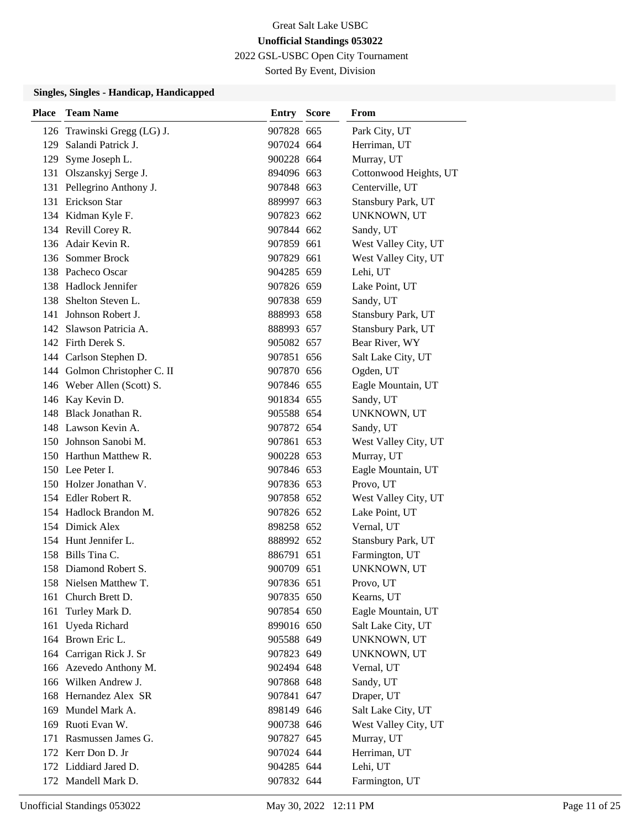2022 GSL-USBC Open City Tournament

Sorted By Event, Division

| Place | <b>Team Name</b>             | <b>Entry Score</b> | From                   |
|-------|------------------------------|--------------------|------------------------|
|       | 126 Trawinski Gregg (LG) J.  | 907828 665         | Park City, UT          |
| 129   | Salandi Patrick J.           | 907024 664         | Herriman, UT           |
| 129   | Syme Joseph L.               | 900228 664         | Murray, UT             |
|       | 131 Olszanskyj Serge J.      | 894096 663         | Cottonwood Heights, UT |
|       | 131 Pellegrino Anthony J.    | 907848 663         | Centerville, UT        |
|       | 131 Erickson Star            | 889997 663         | Stansbury Park, UT     |
|       | 134 Kidman Kyle F.           | 907823 662         | UNKNOWN, UT            |
|       | 134 Revill Corey R.          | 907844 662         | Sandy, UT              |
|       | 136 Adair Kevin R.           | 907859 661         | West Valley City, UT   |
|       | 136 Sommer Brock             | 907829 661         | West Valley City, UT   |
|       | 138 Pacheco Oscar            | 904285 659         | Lehi, UT               |
|       | 138 Hadlock Jennifer         | 907826 659         | Lake Point, UT         |
|       | 138 Shelton Steven L.        | 907838 659         | Sandy, UT              |
| 141   | Johnson Robert J.            | 888993 658         | Stansbury Park, UT     |
|       | 142 Slawson Patricia A.      | 888993 657         | Stansbury Park, UT     |
|       | 142 Firth Derek S.           | 905082 657         | Bear River, WY         |
|       | 144 Carlson Stephen D.       | 907851 656         | Salt Lake City, UT     |
|       | 144 Golmon Christopher C. II | 907870 656         | Ogden, UT              |
|       | 146 Weber Allen (Scott) S.   | 907846 655         | Eagle Mountain, UT     |
|       | 146 Kay Kevin D.             | 901834 655         | Sandy, UT              |
|       | 148 Black Jonathan R.        | 905588 654         | UNKNOWN, UT            |
|       | 148 Lawson Kevin A.          | 907872 654         | Sandy, UT              |
|       | 150 Johnson Sanobi M.        | 907861 653         | West Valley City, UT   |
|       | 150 Harthun Matthew R.       | 900228 653         | Murray, UT             |
|       | 150 Lee Peter I.             | 907846 653         | Eagle Mountain, UT     |
|       | 150 Holzer Jonathan V.       | 907836 653         | Provo, UT              |
|       | 154 Edler Robert R.          | 907858 652         | West Valley City, UT   |
|       | 154 Hadlock Brandon M.       | 907826 652         | Lake Point, UT         |
|       | 154 Dimick Alex              | 898258 652         | Vernal, UT             |
|       | 154 Hunt Jennifer L.         | 888992 652         | Stansbury Park, UT     |
|       | 158 Bills Tina C.            | 886791 651         | Farmington, UT         |
|       | 158 Diamond Robert S.        | 900709 651         | UNKNOWN, UT            |
|       | 158 Nielsen Matthew T.       | 907836 651         | Provo, UT              |
| 161   | Church Brett D.              | 907835 650         | Kearns, UT             |
| 161   | Turley Mark D.               | 907854 650         | Eagle Mountain, UT     |
|       | 161 Uyeda Richard            | 899016 650         | Salt Lake City, UT     |
|       | 164 Brown Eric L.            | 905588 649         | UNKNOWN, UT            |
|       | 164 Carrigan Rick J. Sr      | 907823 649         | UNKNOWN, UT            |
|       | 166 Azevedo Anthony M.       | 902494 648         | Vernal, UT             |
|       | 166 Wilken Andrew J.         | 907868 648         | Sandy, UT              |
|       | 168 Hernandez Alex SR        | 907841 647         | Draper, UT             |
|       | 169 Mundel Mark A.           | 898149 646         | Salt Lake City, UT     |
|       | 169 Ruoti Evan W.            | 900738 646         | West Valley City, UT   |
|       | 171 Rasmussen James G.       | 907827 645         | Murray, UT             |
|       | 172 Kerr Don D. Jr           | 907024 644         | Herriman, UT           |
|       | 172 Liddiard Jared D.        | 904285 644         | Lehi, UT               |
|       | 172 Mandell Mark D.          | 907832 644         | Farmington, UT         |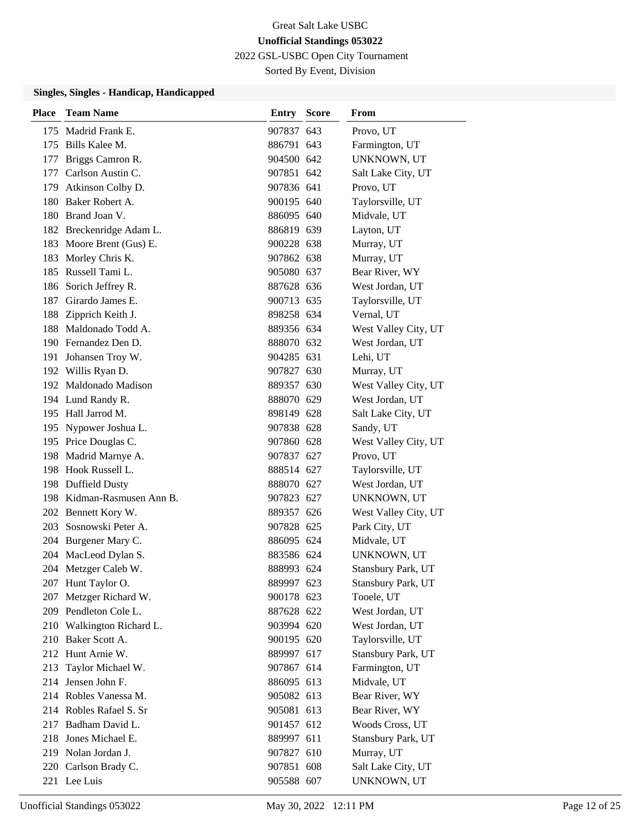2022 GSL-USBC Open City Tournament

Sorted By Event, Division

| Place | <b>Team Name</b>           | <b>Entry Score</b> | From                 |
|-------|----------------------------|--------------------|----------------------|
|       | 175 Madrid Frank E.        | 907837 643         | Provo, UT            |
|       | 175 Bills Kalee M.         | 886791 643         | Farmington, UT       |
|       | 177 Briggs Camron R.       | 904500 642         | UNKNOWN, UT          |
|       | 177 Carlson Austin C.      | 907851 642         | Salt Lake City, UT   |
|       | 179 Atkinson Colby D.      | 907836 641         | Provo, UT            |
|       | 180 Baker Robert A.        | 900195 640         | Taylorsville, UT     |
|       | 180 Brand Joan V.          | 886095 640         | Midvale, UT          |
|       | 182 Breckenridge Adam L.   | 886819 639         | Layton, UT           |
|       | 183 Moore Brent (Gus) E.   | 900228 638         | Murray, UT           |
|       | 183 Morley Chris K.        | 907862 638         | Murray, UT           |
|       | 185 Russell Tami L.        | 905080 637         | Bear River, WY       |
|       | 186 Sorich Jeffrey R.      | 887628 636         | West Jordan, UT      |
| 187   | Girardo James E.           | 900713 635         | Taylorsville, UT     |
|       | 188 Zipprich Keith J.      | 898258 634         | Vernal, UT           |
|       | 188 Maldonado Todd A.      | 889356 634         | West Valley City, UT |
|       | 190 Fernandez Den D.       | 888070 632         | West Jordan, UT      |
|       | 191 Johansen Troy W.       | 904285 631         | Lehi, UT             |
|       | 192 Willis Ryan D.         | 907827 630         | Murray, UT           |
|       | 192 Maldonado Madison      | 889357 630         | West Valley City, UT |
|       | 194 Lund Randy R.          | 888070 629         | West Jordan, UT      |
|       | 195 Hall Jarrod M.         | 898149 628         | Salt Lake City, UT   |
|       | 195 Nypower Joshua L.      | 907838 628         | Sandy, UT            |
|       | 195 Price Douglas C.       | 907860 628         | West Valley City, UT |
|       | 198 Madrid Marnye A.       | 907837 627         | Provo, UT            |
|       | 198 Hook Russell L.        | 888514 627         | Taylorsville, UT     |
|       | 198 Duffield Dusty         | 888070 627         | West Jordan, UT      |
|       | 198 Kidman-Rasmusen Ann B. | 907823 627         | UNKNOWN, UT          |
|       | 202 Bennett Kory W.        | 889357 626         | West Valley City, UT |
|       | 203 Sosnowski Peter A.     | 907828 625         | Park City, UT        |
|       | 204 Burgener Mary C.       | 886095 624         | Midvale, UT          |
|       | 204 MacLeod Dylan S.       | 883586 624         | UNKNOWN, UT          |
|       | 204 Metzger Caleb W.       | 888993 624         | Stansbury Park, UT   |
|       | 207 Hunt Taylor O.         | 889997 623         | Stansbury Park, UT   |
| 207   | Metzger Richard W.         | 900178 623         | Tooele, UT           |
|       | 209 Pendleton Cole L.      | 887628 622         | West Jordan, UT      |
|       | 210 Walkington Richard L.  | 903994 620         | West Jordan, UT      |
| 210   | Baker Scott A.             | 900195 620         | Taylorsville, UT     |
|       | 212 Hunt Arnie W.          | 889997 617         | Stansbury Park, UT   |
| 213   | Taylor Michael W.          | 907867 614         | Farmington, UT       |
|       | 214 Jensen John F.         | 886095 613         | Midvale, UT          |
|       | 214 Robles Vanessa M.      | 905082 613         | Bear River, WY       |
|       | 214 Robles Rafael S. Sr    | 905081 613         | Bear River, WY       |
|       | 217 Badham David L.        | 901457 612         | Woods Cross, UT      |
| 218   | Jones Michael E.           | 889997 611         | Stansbury Park, UT   |
|       | 219 Nolan Jordan J.        | 907827 610         | Murray, UT           |
|       | 220 Carlson Brady C.       | 907851 608         | Salt Lake City, UT   |
|       | 221 Lee Luis               | 905588 607         | UNKNOWN, UT          |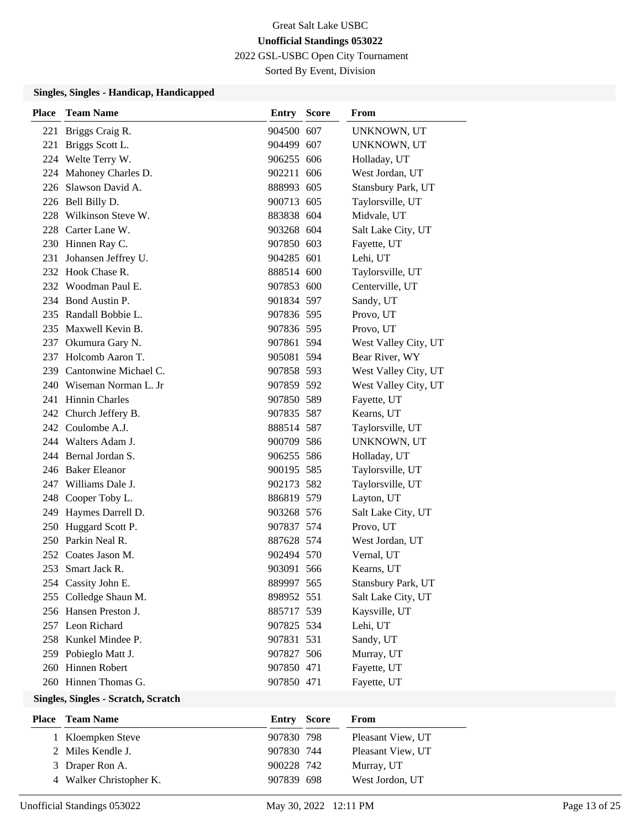2022 GSL-USBC Open City Tournament

Sorted By Event, Division

#### **Singles, Singles - Handicap, Handicapped**

| Place | <b>Team Name</b>          | Entry      | <b>Score</b> | From                 |
|-------|---------------------------|------------|--------------|----------------------|
| 221   | Briggs Craig R.           | 904500 607 |              | UNKNOWN, UT          |
| 221   | Briggs Scott L.           | 904499 607 |              | UNKNOWN, UT          |
|       | 224 Welte Terry W.        | 906255 606 |              | Holladay, UT         |
|       | 224 Mahoney Charles D.    | 902211 606 |              | West Jordan, UT      |
|       | 226 Slawson David A.      | 888993 605 |              | Stansbury Park, UT   |
|       | 226 Bell Billy D.         | 900713 605 |              | Taylorsville, UT     |
|       | 228 Wilkinson Steve W.    | 883838 604 |              | Midvale, UT          |
|       | 228 Carter Lane W.        | 903268 604 |              | Salt Lake City, UT   |
|       | 230 Hinnen Ray C.         | 907850 603 |              | Fayette, UT          |
| 231   | Johansen Jeffrey U.       | 904285 601 |              | Lehi, UT             |
|       | 232 Hook Chase R.         | 888514 600 |              | Taylorsville, UT     |
|       | 232 Woodman Paul E.       | 907853 600 |              | Centerville, UT      |
|       | 234 Bond Austin P.        | 901834 597 |              | Sandy, UT            |
|       | 235 Randall Bobbie L.     | 907836 595 |              | Provo, UT            |
|       | 235 Maxwell Kevin B.      | 907836 595 |              | Provo, UT            |
|       | 237 Okumura Gary N.       | 907861 594 |              | West Valley City, UT |
|       | 237 Holcomb Aaron T.      | 905081 594 |              | Bear River, WY       |
|       | 239 Cantonwine Michael C. | 907858 593 |              | West Valley City, UT |
|       | 240 Wiseman Norman L. Jr  | 907859 592 |              | West Valley City, UT |
|       | 241 Hinnin Charles        | 907850 589 |              | Fayette, UT          |
|       | 242 Church Jeffery B.     | 907835 587 |              | Kearns, UT           |
|       | 242 Coulombe A.J.         | 888514 587 |              | Taylorsville, UT     |
|       | 244 Walters Adam J.       | 900709 586 |              | UNKNOWN, UT          |
|       | 244 Bernal Jordan S.      | 906255 586 |              | Holladay, UT         |
|       | 246 Baker Eleanor         | 900195 585 |              | Taylorsville, UT     |
|       | 247 Williams Dale J.      | 902173 582 |              | Taylorsville, UT     |
|       | 248 Cooper Toby L.        | 886819 579 |              | Layton, UT           |
|       | 249 Haymes Darrell D.     | 903268 576 |              | Salt Lake City, UT   |
|       | 250 Huggard Scott P.      | 907837 574 |              | Provo, UT            |
|       | 250 Parkin Neal R.        | 887628 574 |              | West Jordan, UT      |
|       | 252 Coates Jason M.       | 902494 570 |              | Vernal, UT           |
| 253   | Smart Jack R.             | 903091 566 |              | Kearns, UT           |
|       | 254 Cassity John E.       | 889997 565 |              | Stansbury Park, UT   |
|       | 255 Colledge Shaun M.     | 898952 551 |              | Salt Lake City, UT   |
|       | 256 Hansen Preston J.     | 885717 539 |              | Kaysville, UT        |
|       | 257 Leon Richard          | 907825 534 |              | Lehi, UT             |
|       | 258 Kunkel Mindee P.      | 907831 531 |              | Sandy, UT            |
|       | 259 Pobieglo Matt J.      | 907827 506 |              | Murray, UT           |
|       | 260 Hinnen Robert         | 907850 471 |              | Fayette, UT          |
|       | 260 Hinnen Thomas G.      | 907850 471 |              | Fayette, UT          |

#### **Singles, Singles - Scratch, Scratch**

| <b>Place</b> Team Name  | <b>Entry Score</b> | From              |
|-------------------------|--------------------|-------------------|
| 1 Kloempken Steve       | 907830 798         | Pleasant View, UT |
| 2 Miles Kendle J.       | 907830 744         | Pleasant View, UT |
| 3 Draper Ron A.         | 900228 742         | Murray, UT        |
| 4 Walker Christopher K. | 907839 698         | West Jordon, UT   |
|                         |                    |                   |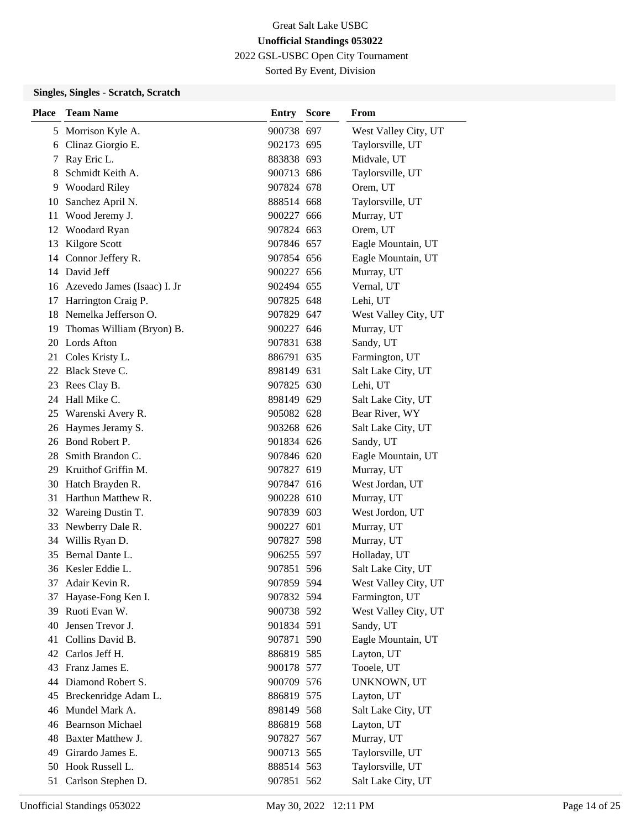2022 GSL-USBC Open City Tournament

Sorted By Event, Division

# **Singles, Singles - Scratch, Scratch**

| <b>Place</b> | <b>Team Name</b>               | Entry      | <b>Score</b> | From                 |
|--------------|--------------------------------|------------|--------------|----------------------|
|              | 5 Morrison Kyle A.             | 900738 697 |              | West Valley City, UT |
| 6            | Clinaz Giorgio E.              | 902173 695 |              | Taylorsville, UT     |
| 7            | Ray Eric L.                    | 883838 693 |              | Midvale, UT          |
| 8            | Schmidt Keith A.               | 900713 686 |              | Taylorsville, UT     |
|              | 9 Woodard Riley                | 907824 678 |              | Orem, UT             |
| 10           | Sanchez April N.               | 888514 668 |              | Taylorsville, UT     |
| 11           | Wood Jeremy J.                 | 900227 666 |              | Murray, UT           |
| 12           | Woodard Ryan                   | 907824 663 |              | Orem, UT             |
| 13           | Kilgore Scott                  | 907846 657 |              | Eagle Mountain, UT   |
|              | 14 Connor Jeffery R.           | 907854 656 |              | Eagle Mountain, UT   |
|              | 14 David Jeff                  | 900227 656 |              | Murray, UT           |
|              | 16 Azevedo James (Isaac) I. Jr | 902494 655 |              | Vernal, UT           |
|              | 17 Harrington Craig P.         | 907825 648 |              | Lehi, UT             |
| 18           | Nemelka Jefferson O.           | 907829 647 |              | West Valley City, UT |
| 19           | Thomas William (Bryon) B.      | 900227 646 |              | Murray, UT           |
|              | 20 Lords Afton                 | 907831 638 |              | Sandy, UT            |
|              | 21 Coles Kristy L.             | 886791 635 |              | Farmington, UT       |
| 22           | Black Steve C.                 | 898149 631 |              | Salt Lake City, UT   |
| 23           | Rees Clay B.                   | 907825 630 |              | Lehi, UT             |
|              | 24 Hall Mike C.                | 898149 629 |              | Salt Lake City, UT   |
|              | 25 Warenski Avery R.           | 905082 628 |              | Bear River, WY       |
| 26           | Haymes Jeramy S.               | 903268 626 |              | Salt Lake City, UT   |
|              | 26 Bond Robert P.              | 901834 626 |              | Sandy, UT            |
| 28           | Smith Brandon C.               | 907846 620 |              | Eagle Mountain, UT   |
|              | 29 Kruithof Griffin M.         | 907827 619 |              | Murray, UT           |
|              | 30 Hatch Brayden R.            | 907847 616 |              | West Jordan, UT      |
| 31           | Harthun Matthew R.             | 900228 610 |              | Murray, UT           |
|              | 32 Wareing Dustin T.           | 907839 603 |              | West Jordon, UT      |
| 33           | Newberry Dale R.               | 900227 601 |              | Murray, UT           |
| 34           | Willis Ryan D.                 | 907827 598 |              | Murray, UT           |
| 35           | Bernal Dante L.                | 906255 597 |              | Holladay, UT         |
|              | 36 Kesler Eddie L.             | 907851 596 |              | Salt Lake City, UT   |
| 37           | Adair Kevin R.                 | 907859 594 |              | West Valley City, UT |
| 37           | Hayase-Fong Ken I.             | 907832 594 |              | Farmington, UT       |
| 39           | Ruoti Evan W.                  | 900738 592 |              | West Valley City, UT |
| 40           | Jensen Trevor J.               | 901834 591 |              | Sandy, UT            |
|              | 41 Collins David B.            | 907871 590 |              | Eagle Mountain, UT   |
|              | 42 Carlos Jeff H.              | 886819 585 |              | Layton, UT           |
|              | 43 Franz James E.              | 900178 577 |              | Tooele, UT           |
|              | 44 Diamond Robert S.           | 900709 576 |              | UNKNOWN, UT          |
|              | 45 Breckenridge Adam L.        | 886819 575 |              | Layton, UT           |
|              | 46 Mundel Mark A.              | 898149 568 |              | Salt Lake City, UT   |
|              | 46 Bearnson Michael            | 886819 568 |              | Layton, UT           |
|              | 48 Baxter Matthew J.           | 907827 567 |              | Murray, UT           |
|              | 49 Girardo James E.            | 900713 565 |              | Taylorsville, UT     |
|              | 50 Hook Russell L.             | 888514 563 |              | Taylorsville, UT     |
|              | 51 Carlson Stephen D.          | 907851 562 |              | Salt Lake City, UT   |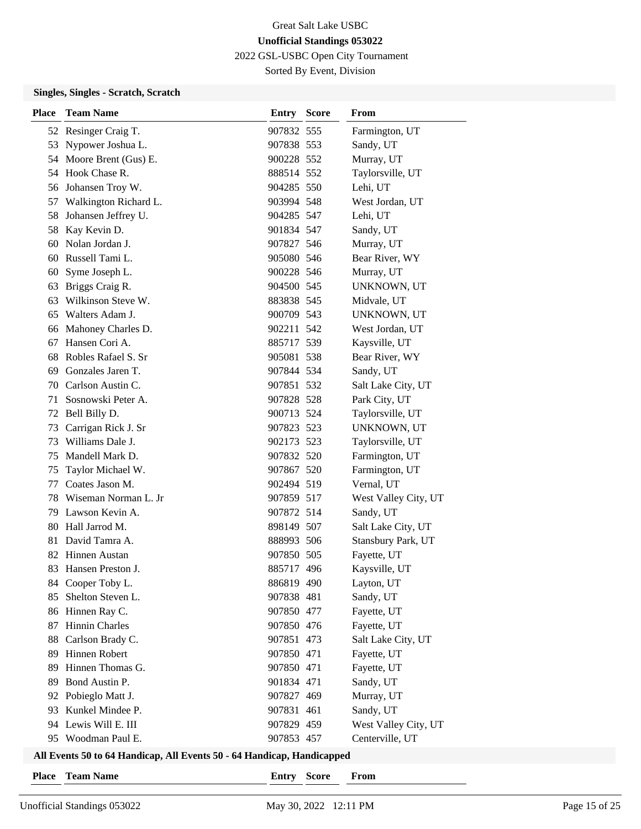2022 GSL-USBC Open City Tournament

Sorted By Event, Division

### **Singles, Singles - Scratch, Scratch**

| <b>Place</b> | <b>Team Name</b>        | <b>Entry Score</b> | From                 |
|--------------|-------------------------|--------------------|----------------------|
|              | 52 Resinger Craig T.    | 907832 555         | Farmington, UT       |
| 53           | Nypower Joshua L.       | 907838 553         | Sandy, UT            |
|              | 54 Moore Brent (Gus) E. | 900228 552         | Murray, UT           |
|              | 54 Hook Chase R.        | 888514 552         | Taylorsville, UT     |
| 56           | Johansen Troy W.        | 904285 550         | Lehi, UT             |
| 57           | Walkington Richard L.   | 903994 548         | West Jordan, UT      |
| 58           | Johansen Jeffrey U.     | 904285 547         | Lehi, UT             |
|              | 58 Kay Kevin D.         | 901834 547         | Sandy, UT            |
| 60           | Nolan Jordan J.         | 907827 546         | Murray, UT           |
|              | 60 Russell Tami L.      | 905080 546         | Bear River, WY       |
| 60           | Syme Joseph L.          | 900228 546         | Murray, UT           |
| 63           | Briggs Craig R.         | 904500 545         | UNKNOWN, UT          |
| 63           | Wilkinson Steve W.      | 883838 545         | Midvale, UT          |
| 65           | Walters Adam J.         | 900709 543         | UNKNOWN, UT          |
|              | 66 Mahoney Charles D.   | 902211 542         | West Jordan, UT      |
| 67           | Hansen Cori A.          | 885717 539         | Kaysville, UT        |
| 68           | Robles Rafael S. Sr     | 905081 538         | Bear River, WY       |
| 69           | Gonzales Jaren T.       | 907844 534         | Sandy, UT            |
|              | 70 Carlson Austin C.    | 907851 532         | Salt Lake City, UT   |
| 71           | Sosnowski Peter A.      | 907828 528         | Park City, UT        |
| 72           | Bell Billy D.           | 900713 524         | Taylorsville, UT     |
| 73           | Carrigan Rick J. Sr     | 907823 523         | UNKNOWN, UT          |
| 73           | Williams Dale J.        | 902173 523         | Taylorsville, UT     |
| 75           | Mandell Mark D.         | 907832 520         | Farmington, UT       |
| 75           | Taylor Michael W.       | 907867 520         | Farmington, UT       |
| 77           | Coates Jason M.         | 902494 519         | Vernal, UT           |
| 78           | Wiseman Norman L. Jr    | 907859 517         | West Valley City, UT |
| 79           | Lawson Kevin A.         | 907872 514         | Sandy, UT            |
| 80           | Hall Jarrod M.          | 898149 507         | Salt Lake City, UT   |
| 81           | David Tamra A.          | 888993 506         | Stansbury Park, UT   |
|              | 82 Hinnen Austan        | 907850 505         | Fayette, UT          |
| 83.          | Hansen Preston J.       | 885717 496         | Kaysville, UT        |
|              | 84 Cooper Toby L.       | 886819 490         | Layton, UT           |
| 85           | Shelton Steven L.       | 907838 481         | Sandy, UT            |
|              | 86 Hinnen Ray C.        | 907850 477         | Fayette, UT          |
| 87           | Hinnin Charles          | 907850 476         | Fayette, UT          |
| 88           | Carlson Brady C.        | 907851 473         | Salt Lake City, UT   |
| 89           | Hinnen Robert           | 907850 471         | Fayette, UT          |
| 89           | Hinnen Thomas G.        | 907850 471         | Fayette, UT          |
| 89           | Bond Austin P.          | 901834 471         | Sandy, UT            |
| 92           | Pobieglo Matt J.        | 907827 469         | Murray, UT           |
| 93           | Kunkel Mindee P.        | 907831 461         | Sandy, UT            |
| 94           | Lewis Will E. III       | 907829 459         | West Valley City, UT |
| 95           | Woodman Paul E.         | 907853 457         | Centerville, UT      |

# **All Events 50 to 64 Handicap, All Events 50 - 64 Handicap, Handicapped**

| <b>Team Name</b> | <b>Place</b> |  |  |
|------------------|--------------|--|--|
|------------------|--------------|--|--|

 $\text{Entry}$  **Score From**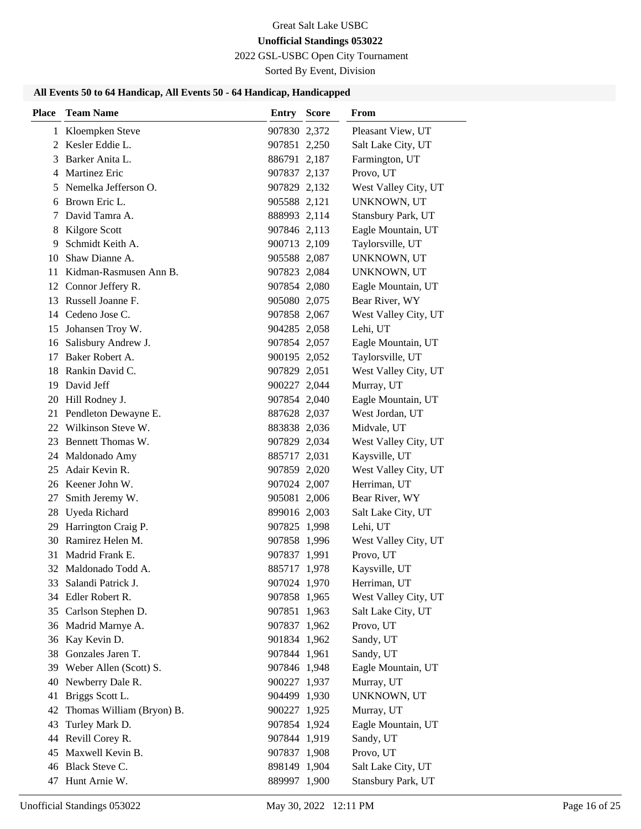2022 GSL-USBC Open City Tournament

Sorted By Event, Division

# **All Events 50 to 64 Handicap, All Events 50 - 64 Handicap, Handicapped**

| <b>Place</b> | <b>Team Name</b>             | Entry        | <b>Score</b> | From                 |
|--------------|------------------------------|--------------|--------------|----------------------|
|              | 1 Kloempken Steve            | 907830 2,372 |              | Pleasant View, UT    |
|              | 2 Kesler Eddie L.            | 907851 2,250 |              | Salt Lake City, UT   |
| 3            | Barker Anita L.              | 886791 2,187 |              | Farmington, UT       |
| 4            | <b>Martinez Eric</b>         | 907837 2,137 |              | Provo, UT            |
| 5            | Nemelka Jefferson O.         | 907829 2,132 |              | West Valley City, UT |
|              | 6 Brown Eric L.              | 905588 2,121 |              | UNKNOWN, UT          |
| 7            | David Tamra A.               | 888993 2,114 |              | Stansbury Park, UT   |
| 8            | Kilgore Scott                | 907846 2,113 |              | Eagle Mountain, UT   |
| 9            | Schmidt Keith A.             | 900713 2,109 |              | Taylorsville, UT     |
| 10           | Shaw Dianne A.               | 905588 2,087 |              | UNKNOWN, UT          |
| 11           | Kidman-Rasmusen Ann B.       | 907823 2,084 |              | UNKNOWN, UT          |
|              | 12 Connor Jeffery R.         | 907854 2,080 |              | Eagle Mountain, UT   |
|              | 13 Russell Joanne F.         | 905080 2,075 |              | Bear River, WY       |
|              | 14 Cedeno Jose C.            | 907858 2,067 |              | West Valley City, UT |
| 15           | Johansen Troy W.             | 904285 2,058 |              | Lehi, UT             |
|              | 16 Salisbury Andrew J.       | 907854 2,057 |              | Eagle Mountain, UT   |
| 17           | Baker Robert A.              | 900195 2,052 |              | Taylorsville, UT     |
| 18           | Rankin David C.              | 907829 2,051 |              | West Valley City, UT |
|              | 19 David Jeff                | 900227 2,044 |              | Murray, UT           |
|              | 20 Hill Rodney J.            | 907854 2,040 |              | Eagle Mountain, UT   |
|              | 21 Pendleton Dewayne E.      | 887628 2,037 |              | West Jordan, UT      |
|              | 22 Wilkinson Steve W.        | 883838 2,036 |              | Midvale, UT          |
| 23           | Bennett Thomas W.            | 907829 2,034 |              | West Valley City, UT |
| 24           | Maldonado Amy                | 885717 2,031 |              | Kaysville, UT        |
| 25           | Adair Kevin R.               | 907859 2,020 |              | West Valley City, UT |
|              | 26 Keener John W.            | 907024 2,007 |              | Herriman, UT         |
| 27           | Smith Jeremy W.              | 905081 2,006 |              | Bear River, WY       |
| 28           | Uyeda Richard                | 899016 2,003 |              | Salt Lake City, UT   |
| 29           | Harrington Craig P.          | 907825 1,998 |              | Lehi, UT             |
|              | 30 Ramirez Helen M.          | 907858 1,996 |              | West Valley City, UT |
| 31           | Madrid Frank E.              | 907837 1,991 |              | Provo, UT            |
| 32           | Maldonado Todd A.            | 885717 1,978 |              | Kaysville, UT        |
|              | 33 Salandi Patrick J.        | 907024 1,970 |              | Herriman, UT         |
|              | 34 Edler Robert R.           | 907858 1,965 |              | West Valley City, UT |
|              | 35 Carlson Stephen D.        | 907851 1,963 |              | Salt Lake City, UT   |
|              | 36 Madrid Marnye A.          | 907837 1,962 |              | Provo, UT            |
|              | 36 Kay Kevin D.              | 901834 1,962 |              | Sandy, UT            |
|              | 38 Gonzales Jaren T.         | 907844 1,961 |              | Sandy, UT            |
|              | 39 Weber Allen (Scott) S.    | 907846 1,948 |              | Eagle Mountain, UT   |
| 40           | Newberry Dale R.             | 900227 1,937 |              | Murray, UT           |
| 41           | Briggs Scott L.              | 904499 1,930 |              | UNKNOWN, UT          |
|              | 42 Thomas William (Bryon) B. | 900227 1,925 |              | Murray, UT           |
| 43           | Turley Mark D.               | 907854 1,924 |              | Eagle Mountain, UT   |
|              | 44 Revill Corey R.           | 907844 1,919 |              | Sandy, UT            |
| 45           | Maxwell Kevin B.             | 907837 1,908 |              | Provo, UT            |
|              | 46 Black Steve C.            | 898149 1,904 |              | Salt Lake City, UT   |
|              | 47 Hunt Arnie W.             | 889997 1,900 |              | Stansbury Park, UT   |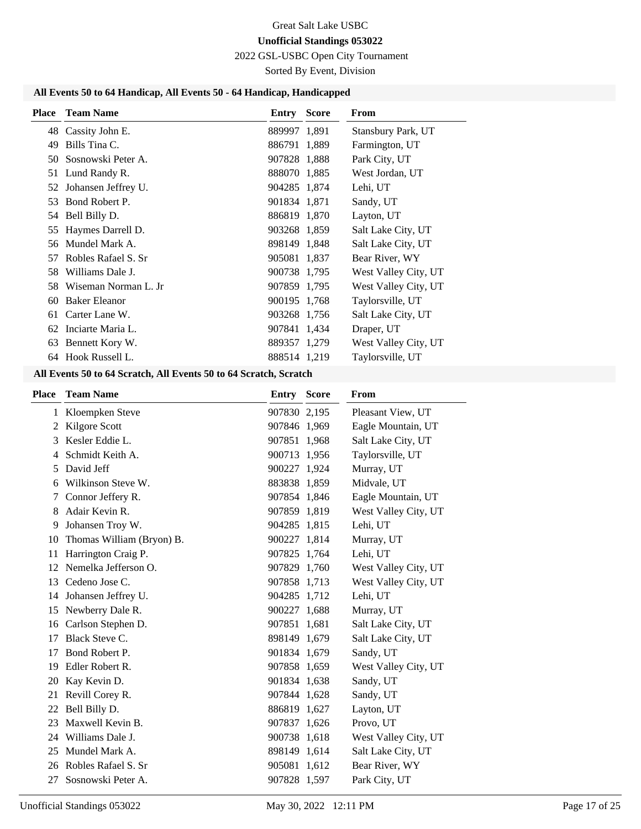2022 GSL-USBC Open City Tournament

Sorted By Event, Division

# **All Events 50 to 64 Handicap, All Events 50 - 64 Handicap, Handicapped**

| <b>Place</b> | <b>Team Name</b>       | Entry        | <b>Score</b> | From                 |
|--------------|------------------------|--------------|--------------|----------------------|
|              | 48 Cassity John E.     | 889997 1,891 |              | Stansbury Park, UT   |
| 49           | Bills Tina C.          | 886791 1,889 |              | Farmington, UT       |
| 50           | Sosnowski Peter A.     | 907828 1,888 |              | Park City, UT        |
| 51           | Lund Randy R.          | 888070 1,885 |              | West Jordan, UT      |
|              | 52 Johansen Jeffrey U. | 904285 1,874 |              | Lehi, UT             |
| 53           | Bond Robert P.         | 901834 1,871 |              | Sandy, UT            |
|              | 54 Bell Billy D.       | 886819 1,870 |              | Layton, UT           |
| 55           | Haymes Darrell D.      | 903268 1,859 |              | Salt Lake City, UT   |
| 56           | Mundel Mark A.         | 898149 1,848 |              | Salt Lake City, UT   |
| 57           | Robles Rafael S. Sr    | 905081 1,837 |              | Bear River, WY       |
| 58           | Williams Dale J.       | 900738 1,795 |              | West Valley City, UT |
| 58           | Wiseman Norman L. Jr   | 907859 1,795 |              | West Valley City, UT |
| 60           | <b>Baker Eleanor</b>   | 900195 1,768 |              | Taylorsville, UT     |
| 61           | Carter Lane W.         | 903268 1,756 |              | Salt Lake City, UT   |
| 62           | Inciarte Maria L.      | 907841 1,434 |              | Draper, UT           |
| 63           | Bennett Kory W.        | 889357 1,279 |              | West Valley City, UT |
| 64           | Hook Russell L.        | 888514 1,219 |              | Taylorsville, UT     |

# **All Events 50 to 64 Scratch, All Events 50 to 64 Scratch, Scratch**

| <b>Place</b> | <b>Team Name</b>          | Entry        | <b>Score</b> | From                 |
|--------------|---------------------------|--------------|--------------|----------------------|
|              | 1 Kloempken Steve         | 907830 2,195 |              | Pleasant View, UT    |
| 2            | Kilgore Scott             | 907846 1,969 |              | Eagle Mountain, UT   |
| 3            | Kesler Eddie L.           | 907851 1,968 |              | Salt Lake City, UT   |
| 4            | Schmidt Keith A.          | 900713 1,956 |              | Taylorsville, UT     |
| 5            | David Jeff                | 900227 1,924 |              | Murray, UT           |
| 6            | Wilkinson Steve W.        | 883838 1,859 |              | Midvale, UT          |
| 7            | Connor Jeffery R.         | 907854 1,846 |              | Eagle Mountain, UT   |
| 8            | Adair Kevin R.            | 907859 1,819 |              | West Valley City, UT |
| 9            | Johansen Troy W.          | 904285 1,815 |              | Lehi, UT             |
| 10           | Thomas William (Bryon) B. | 900227 1,814 |              | Murray, UT           |
| 11           | Harrington Craig P.       | 907825 1,764 |              | Lehi, UT             |
| 12           | Nemelka Jefferson O.      | 907829 1,760 |              | West Valley City, UT |
| 13           | Cedeno Jose C.            | 907858 1,713 |              | West Valley City, UT |
| 14           | Johansen Jeffrey U.       | 904285 1,712 |              | Lehi, UT             |
| 15           | Newberry Dale R.          | 900227 1,688 |              | Murray, UT           |
| 16           | Carlson Stephen D.        | 907851 1,681 |              | Salt Lake City, UT   |
| 17           | Black Steve C.            | 898149 1,679 |              | Salt Lake City, UT   |
| 17           | Bond Robert P.            | 901834 1,679 |              | Sandy, UT            |
| 19           | Edler Robert R.           | 907858 1,659 |              | West Valley City, UT |
| 20           | Kay Kevin D.              | 901834 1,638 |              | Sandy, UT            |
| 21           | Revill Corey R.           | 907844 1,628 |              | Sandy, UT            |
| 22           | Bell Billy D.             | 886819 1,627 |              | Layton, UT           |
| 23           | Maxwell Kevin B.          | 907837 1,626 |              | Provo, UT            |
| 24           | Williams Dale J.          | 900738 1,618 |              | West Valley City, UT |
| 25           | Mundel Mark A.            | 898149 1,614 |              | Salt Lake City, UT   |
|              | 26 Robles Rafael S. Sr    | 905081 1,612 |              | Bear River, WY       |
| 27           | Sosnowski Peter A.        | 907828 1,597 |              | Park City, UT        |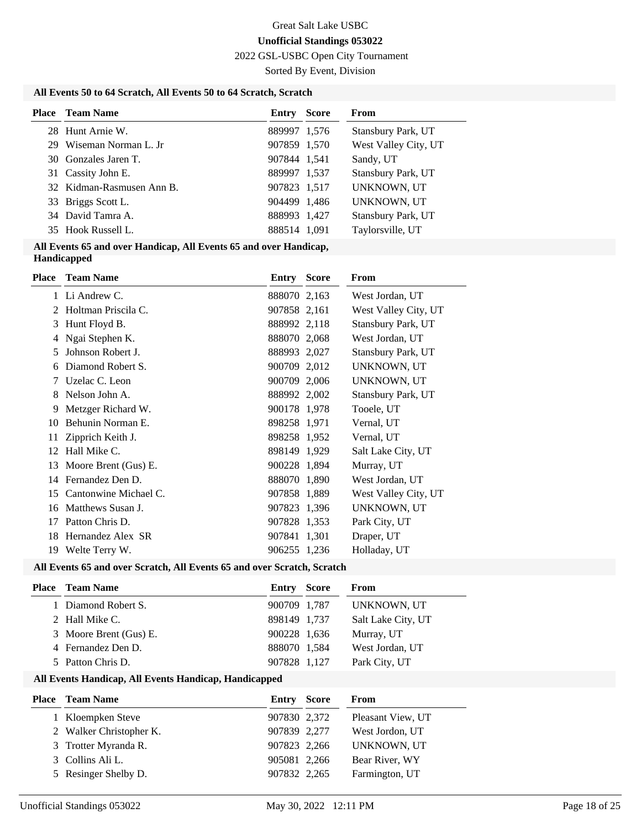2022 GSL-USBC Open City Tournament

Sorted By Event, Division

### **All Events 50 to 64 Scratch, All Events 50 to 64 Scratch, Scratch**

| <b>Place</b> Team Name    | <b>Entry Score</b> | <b>From</b>          |
|---------------------------|--------------------|----------------------|
| 28 Hunt Arnie W.          | 889997 1,576       | Stansbury Park, UT   |
| 29 Wiseman Norman L. Jr   | 907859 1,570       | West Valley City, UT |
| 30 Gonzales Jaren T.      | 907844 1,541       | Sandy, UT            |
| 31 Cassity John E.        | 889997 1,537       | Stansbury Park, UT   |
| 32 Kidman-Rasmusen Ann B. | 907823 1,517       | UNKNOWN, UT          |
| 33 Briggs Scott L.        | 904499 1,486       | UNKNOWN, UT          |
| 34 David Tamra A.         | 888993 1,427       | Stansbury Park, UT   |
| 35 Hook Russell L.        | 888514 1,091       | Taylorsville, UT     |
|                           |                    |                      |

#### **All Events 65 and over Handicap, All Events 65 and over Handicap, Handicapped**

| <b>Place</b> | <b>Team Name</b>      | <b>Entry Score</b> | From                 |
|--------------|-----------------------|--------------------|----------------------|
|              | 1 Li Andrew C.        | 888070 2,163       | West Jordan, UT      |
| 2            | Holtman Priscila C.   | 907858 2,161       | West Valley City, UT |
| 3            | Hunt Floyd B.         | 888992 2,118       | Stansbury Park, UT   |
| 4            | Ngai Stephen K.       | 888070 2,068       | West Jordan, UT      |
| 5            | Johnson Robert J.     | 888993 2,027       | Stansbury Park, UT   |
| 6            | Diamond Robert S.     | 900709 2,012       | UNKNOWN, UT          |
| 7            | Uzelac C. Leon        | 900709 2,006       | UNKNOWN, UT          |
| 8            | Nelson John A.        | 888992 2,002       | Stansbury Park, UT   |
| 9            | Metzger Richard W.    | 900178 1,978       | Tooele, UT           |
| 10           | Behunin Norman E.     | 898258 1,971       | Vernal, UT           |
| 11           | Zipprich Keith J.     | 898258 1,952       | Vernal, UT           |
| 12           | Hall Mike C.          | 898149 1,929       | Salt Lake City, UT   |
| 13           | Moore Brent (Gus) E.  | 900228 1,894       | Murray, UT           |
| 14           | Fernandez Den D.      | 888070 1,890       | West Jordan, UT      |
| 15           | Cantonwine Michael C. | 907858 1,889       | West Valley City, UT |
| 16           | Matthews Susan J.     | 907823 1,396       | UNKNOWN, UT          |
| 17           | Patton Chris D.       | 907828 1,353       | Park City, UT        |
| 18           | Hernandez Alex SR     | 907841 1,301       | Draper, UT           |
| 19           | Welte Terry W.        | 906255 1,236       | Holladay, UT         |

#### **All Events 65 and over Scratch, All Events 65 and over Scratch, Scratch**

| Entry                                                                                                                                | From                                                                                  |
|--------------------------------------------------------------------------------------------------------------------------------------|---------------------------------------------------------------------------------------|
|                                                                                                                                      | UNKNOWN, UT                                                                           |
|                                                                                                                                      | Salt Lake City, UT                                                                    |
|                                                                                                                                      | Murray, UT                                                                            |
|                                                                                                                                      | West Jordan, UT                                                                       |
|                                                                                                                                      | Park City, UT                                                                         |
| <b>Place</b> Team Name<br>1 Diamond Robert S.<br>2 Hall Mike C.<br>3 Moore Brent (Gus) E.<br>4 Fernandez Den D.<br>5 Patton Chris D. | Score<br>900709 1,787<br>898149 1,737<br>900228 1,636<br>888070 1.584<br>907828 1,127 |

| <b>Place</b> Team Name  | Entry        | <b>Score</b> | From              |
|-------------------------|--------------|--------------|-------------------|
| 1 Kloempken Steve       | 907830 2,372 |              | Pleasant View, UT |
| 2 Walker Christopher K. | 907839 2,277 |              | West Jordon, UT   |
| 3 Trotter Myranda R.    | 907823 2,266 |              | UNKNOWN, UT       |
| 3 Collins Ali L.        | 905081 2,266 |              | Bear River, WY    |
| 5 Resinger Shelby D.    | 907832 2,265 |              | Farmington, UT    |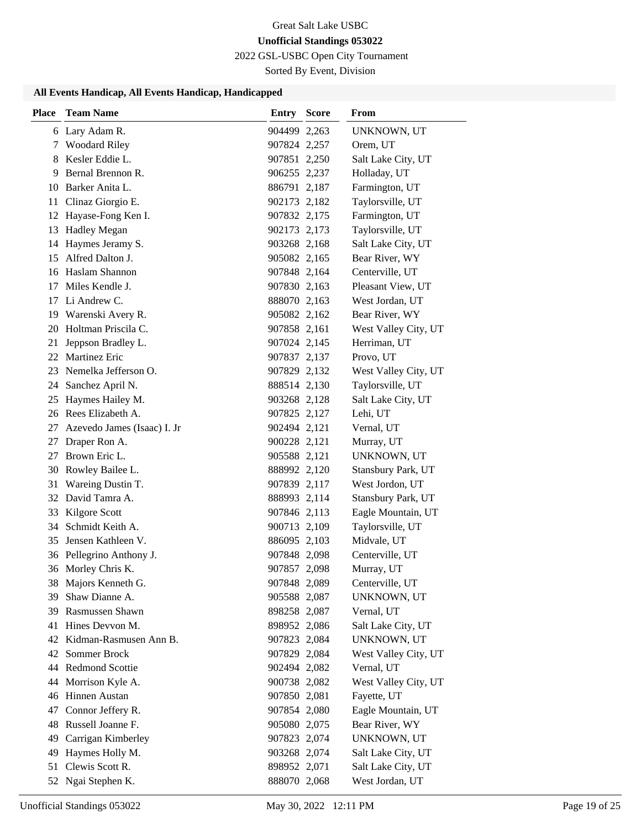2022 GSL-USBC Open City Tournament

Sorted By Event, Division

| <b>Place</b> | <b>Team Name</b>            | <b>Entry Score</b> | <b>From</b>          |
|--------------|-----------------------------|--------------------|----------------------|
|              | 6 Lary Adam R.              | 904499 2,263       | UNKNOWN, UT          |
| 7            | <b>Woodard Riley</b>        | 907824 2,257       | Orem, UT             |
| 8            | Kesler Eddie L.             | 907851 2,250       | Salt Lake City, UT   |
| 9            | Bernal Brennon R.           | 906255 2,237       | Holladay, UT         |
|              | 10 Barker Anita L.          | 886791 2,187       | Farmington, UT       |
| 11           | Clinaz Giorgio E.           | 902173 2,182       | Taylorsville, UT     |
|              | 12 Hayase-Fong Ken I.       | 907832 2,175       | Farmington, UT       |
| 13           | <b>Hadley Megan</b>         | 902173 2,173       | Taylorsville, UT     |
| 14           | Haymes Jeramy S.            | 903268 2,168       | Salt Lake City, UT   |
| 15           | Alfred Dalton J.            | 905082 2,165       | Bear River, WY       |
|              | 16 Haslam Shannon           | 907848 2,164       | Centerville, UT      |
| 17           | Miles Kendle J.             | 907830 2,163       | Pleasant View, UT    |
| 17           | Li Andrew C.                | 888070 2,163       | West Jordan, UT      |
| 19           | Warenski Avery R.           | 905082 2,162       | Bear River, WY       |
| 20           | Holtman Priscila C.         | 907858 2,161       | West Valley City, UT |
| 21           | Jeppson Bradley L.          | 907024 2,145       | Herriman, UT         |
| 22           | Martinez Eric               | 907837 2,137       | Provo, UT            |
| 23           | Nemelka Jefferson O.        | 907829 2,132       | West Valley City, UT |
| 24           | Sanchez April N.            | 888514 2,130       | Taylorsville, UT     |
| 25           | Haymes Hailey M.            | 903268 2,128       | Salt Lake City, UT   |
|              | 26 Rees Elizabeth A.        | 907825 2,127       | Lehi, UT             |
| 27           | Azevedo James (Isaac) I. Jr | 902494 2,121       | Vernal, UT           |
| 27           | Draper Ron A.               | 900228 2,121       | Murray, UT           |
| 27           | Brown Eric L.               | 905588 2,121       | UNKNOWN, UT          |
| 30           | Rowley Bailee L.            | 888992 2,120       | Stansbury Park, UT   |
| 31           | Wareing Dustin T.           | 907839 2,117       | West Jordon, UT      |
|              | 32 David Tamra A.           | 888993 2,114       | Stansbury Park, UT   |
| 33           | Kilgore Scott               | 907846 2,113       | Eagle Mountain, UT   |
| 34           | Schmidt Keith A.            | 900713 2,109       | Taylorsville, UT     |
| 35           | Jensen Kathleen V.          | 886095 2,103       | Midvale, UT          |
|              | 36 Pellegrino Anthony J.    | 907848 2,098       | Centerville, UT      |
|              | 36 Morley Chris K.          | 907857 2,098       | Murray, UT           |
|              | 38 Majors Kenneth G.        | 907848 2,089       | Centerville, UT      |
| 39           | Shaw Dianne A.              | 905588 2,087       | UNKNOWN, UT          |
|              | 39 Rasmussen Shawn          | 898258 2,087       | Vernal, UT           |
|              | 41 Hines Devvon M.          | 898952 2,086       | Salt Lake City, UT   |
|              | 42 Kidman-Rasmusen Ann B.   | 907823 2,084       | UNKNOWN, UT          |
| 42           | Sommer Brock                | 907829 2,084       | West Valley City, UT |
|              | 44 Redmond Scottie          | 902494 2,082       | Vernal, UT           |
| 44           | Morrison Kyle A.            | 900738 2,082       | West Valley City, UT |
|              | 46 Hinnen Austan            | 907850 2,081       | Fayette, UT          |
| 47           | Connor Jeffery R.           | 907854 2,080       | Eagle Mountain, UT   |
| 48           | Russell Joanne F.           | 905080 2,075       | Bear River, WY       |
| 49           | Carrigan Kimberley          | 907823 2,074       | UNKNOWN, UT          |
| 49           | Haymes Holly M.             | 903268 2,074       | Salt Lake City, UT   |
| 51           | Clewis Scott R.             | 898952 2,071       | Salt Lake City, UT   |
|              | 52 Ngai Stephen K.          | 888070 2,068       | West Jordan, UT      |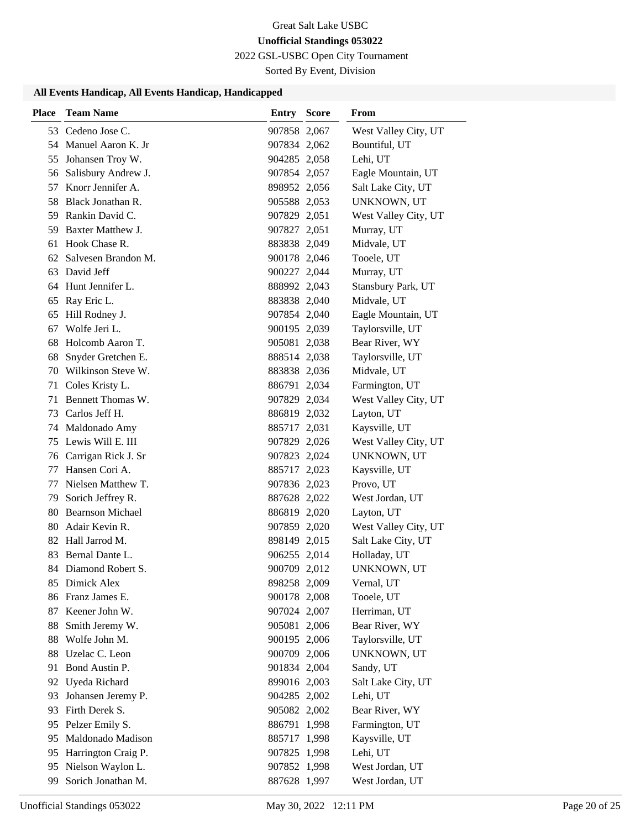2022 GSL-USBC Open City Tournament

Sorted By Event, Division

| Place | <b>Team Name</b>        | <b>Entry Score</b> | From                 |
|-------|-------------------------|--------------------|----------------------|
|       | 53 Cedeno Jose C.       | 907858 2,067       | West Valley City, UT |
|       | 54 Manuel Aaron K. Jr   | 907834 2,062       | Bountiful, UT        |
|       | 55 Johansen Troy W.     | 904285 2,058       | Lehi, UT             |
|       | 56 Salisbury Andrew J.  | 907854 2,057       | Eagle Mountain, UT   |
|       | 57 Knorr Jennifer A.    | 898952 2,056       | Salt Lake City, UT   |
|       | 58 Black Jonathan R.    | 905588 2,053       | UNKNOWN, UT          |
|       | 59 Rankin David C.      | 907829 2,051       | West Valley City, UT |
| 59.   | Baxter Matthew J.       | 907827 2,051       | Murray, UT           |
| 61    | Hook Chase R.           | 883838 2,049       | Midvale, UT          |
|       | 62 Salvesen Brandon M.  | 900178 2,046       | Tooele, UT           |
|       | 63 David Jeff           | 900227 2,044       | Murray, UT           |
|       | 64 Hunt Jennifer L.     | 888992 2,043       | Stansbury Park, UT   |
| 65    | Ray Eric L.             | 883838 2,040       | Midvale, UT          |
| 65    | Hill Rodney J.          | 907854 2,040       | Eagle Mountain, UT   |
| 67    | Wolfe Jeri L.           | 900195 2,039       | Taylorsville, UT     |
| 68    | Holcomb Aaron T.        | 905081 2,038       | Bear River, WY       |
| 68    | Snyder Gretchen E.      | 888514 2,038       | Taylorsville, UT     |
|       | 70 Wilkinson Steve W.   | 883838 2,036       | Midvale, UT          |
|       | 71 Coles Kristy L.      | 886791 2,034       | Farmington, UT       |
| 71    | Bennett Thomas W.       | 907829 2,034       | West Valley City, UT |
|       | 73 Carlos Jeff H.       | 886819 2,032       | Layton, UT           |
|       | 74 Maldonado Amy        | 885717 2,031       | Kaysville, UT        |
|       | 75 Lewis Will E. III    | 907829 2,026       | West Valley City, UT |
| 76    | Carrigan Rick J. Sr     | 907823 2,024       | UNKNOWN, UT          |
| 77    | Hansen Cori A.          | 885717 2,023       | Kaysville, UT        |
| 77    | Nielsen Matthew T.      | 907836 2,023       | Provo, UT            |
|       | 79 Sorich Jeffrey R.    | 887628 2,022       | West Jordan, UT      |
| 80    | <b>Bearnson Michael</b> | 886819 2,020       | Layton, UT           |
|       | 80 Adair Kevin R.       | 907859 2,020       | West Valley City, UT |
|       | 82 Hall Jarrod M.       | 898149 2,015       | Salt Lake City, UT   |
|       | 83 Bernal Dante L.      | 906255 2,014       | Holladay, UT         |
|       | 84 Diamond Robert S.    | 900709 2,012       | UNKNOWN, UT          |
|       | 85 Dimick Alex          | 898258 2,009       | Vernal, UT           |
|       | 86 Franz James E.       | 900178 2,008       | Tooele, UT           |
|       | 87 Keener John W.       | 907024 2,007       | Herriman, UT         |
| 88    | Smith Jeremy W.         | 905081 2,006       | Bear River, WY       |
| 88    | Wolfe John M.           | 900195 2,006       | Taylorsville, UT     |
| 88    | Uzelac C. Leon          | 900709 2,006       | UNKNOWN, UT          |
| 91    | Bond Austin P.          | 901834 2,004       | Sandy, UT            |
|       | 92 Uyeda Richard        | 899016 2,003       | Salt Lake City, UT   |
| 93    | Johansen Jeremy P.      | 904285 2,002       | Lehi, UT             |
| 93    | Firth Derek S.          | 905082 2,002       | Bear River, WY       |
|       | 95 Pelzer Emily S.      | 886791 1,998       | Farmington, UT       |
| 95    | Maldonado Madison       | 885717 1,998       | Kaysville, UT        |
| 95    | Harrington Craig P.     | 907825 1,998       | Lehi, UT             |
| 95    | Nielson Waylon L.       | 907852 1,998       | West Jordan, UT      |
| 99    | Sorich Jonathan M.      | 887628 1,997       | West Jordan, UT      |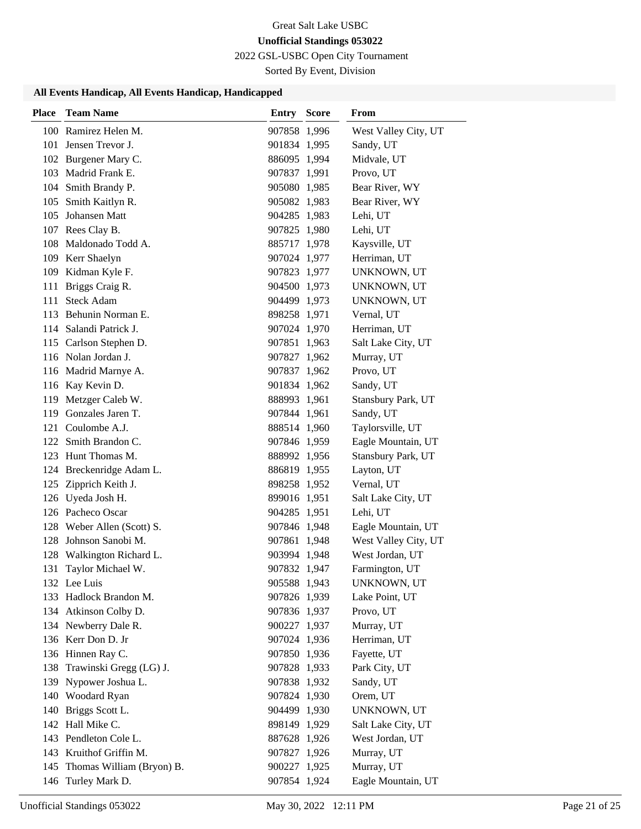2022 GSL-USBC Open City Tournament

Sorted By Event, Division

| Place | <b>Team Name</b>           | <b>Entry Score</b> | <b>From</b>          |
|-------|----------------------------|--------------------|----------------------|
|       | 100 Ramirez Helen M.       | 907858 1,996       | West Valley City, UT |
|       | 101 Jensen Trevor J.       | 901834 1,995       | Sandy, UT            |
|       | 102 Burgener Mary C.       | 886095 1,994       | Midvale, UT          |
|       | 103 Madrid Frank E.        | 907837 1,991       | Provo, UT            |
|       | 104 Smith Brandy P.        | 905080 1,985       | Bear River, WY       |
|       | 105 Smith Kaitlyn R.       | 905082 1,983       | Bear River, WY       |
|       | 105 Johansen Matt          | 904285 1,983       | Lehi, UT             |
|       | 107 Rees Clay B.           | 907825 1,980       | Lehi, UT             |
|       | 108 Maldonado Todd A.      | 885717 1,978       | Kaysville, UT        |
|       | 109 Kerr Shaelyn           | 907024 1,977       | Herriman, UT         |
|       | 109 Kidman Kyle F.         | 907823 1,977       | UNKNOWN, UT          |
|       | 111 Briggs Craig R.        | 904500 1,973       | UNKNOWN, UT          |
|       | 111 Steck Adam             | 904499 1,973       | UNKNOWN, UT          |
|       | 113 Behunin Norman E.      | 898258 1,971       | Vernal, UT           |
|       | 114 Salandi Patrick J.     | 907024 1,970       | Herriman, UT         |
|       | 115 Carlson Stephen D.     | 907851 1,963       | Salt Lake City, UT   |
|       | 116 Nolan Jordan J.        | 907827 1,962       | Murray, UT           |
|       | 116 Madrid Marnye A.       | 907837 1,962       | Provo, UT            |
|       | 116 Kay Kevin D.           | 901834 1,962       | Sandy, UT            |
|       | 119 Metzger Caleb W.       | 888993 1,961       | Stansbury Park, UT   |
|       | 119 Gonzales Jaren T.      | 907844 1,961       | Sandy, UT            |
|       | 121 Coulombe A.J.          | 888514 1,960       | Taylorsville, UT     |
|       | 122 Smith Brandon C.       | 907846 1,959       | Eagle Mountain, UT   |
|       | 123 Hunt Thomas M.         | 888992 1,956       | Stansbury Park, UT   |
|       | 124 Breckenridge Adam L.   | 886819 1,955       | Layton, UT           |
| 125   | Zipprich Keith J.          | 898258 1,952       | Vernal, UT           |
|       | 126 Uyeda Josh H.          | 899016 1,951       | Salt Lake City, UT   |
|       | 126 Pacheco Oscar          | 904285 1,951       | Lehi, UT             |
|       | 128 Weber Allen (Scott) S. | 907846 1,948       | Eagle Mountain, UT   |
|       | 128 Johnson Sanobi M.      | 907861 1,948       | West Valley City, UT |
|       | 128 Walkington Richard L.  | 903994 1,948       | West Jordan, UT      |
| 131   | Taylor Michael W.          | 907832 1,947       | Farmington, UT       |
|       | 132 Lee Luis               | 905588 1,943       | UNKNOWN, UT          |
|       | 133 Hadlock Brandon M.     | 907826 1,939       | Lake Point, UT       |
|       | 134 Atkinson Colby D.      | 907836 1,937       | Provo, UT            |
|       | 134 Newberry Dale R.       | 900227 1,937       | Murray, UT           |
|       | 136 Kerr Don D. Jr         | 907024 1,936       | Herriman, UT         |
|       | 136 Hinnen Ray C.          | 907850 1,936       | Fayette, UT          |
| 138   | Trawinski Gregg (LG) J.    | 907828 1,933       | Park City, UT        |
|       | 139 Nypower Joshua L.      | 907838 1,932       | Sandy, UT            |
|       | 140 Woodard Ryan           | 907824 1,930       | Orem, UT             |
| 140   | Briggs Scott L.            | 904499 1,930       | UNKNOWN, UT          |
|       | 142 Hall Mike C.           | 898149 1,929       | Salt Lake City, UT   |
|       | 143 Pendleton Cole L.      | 887628 1,926       | West Jordan, UT      |
|       | 143 Kruithof Griffin M.    | 907827 1,926       | Murray, UT           |
| 145   | Thomas William (Bryon) B.  | 900227 1,925       | Murray, UT           |
|       | 146 Turley Mark D.         | 907854 1,924       | Eagle Mountain, UT   |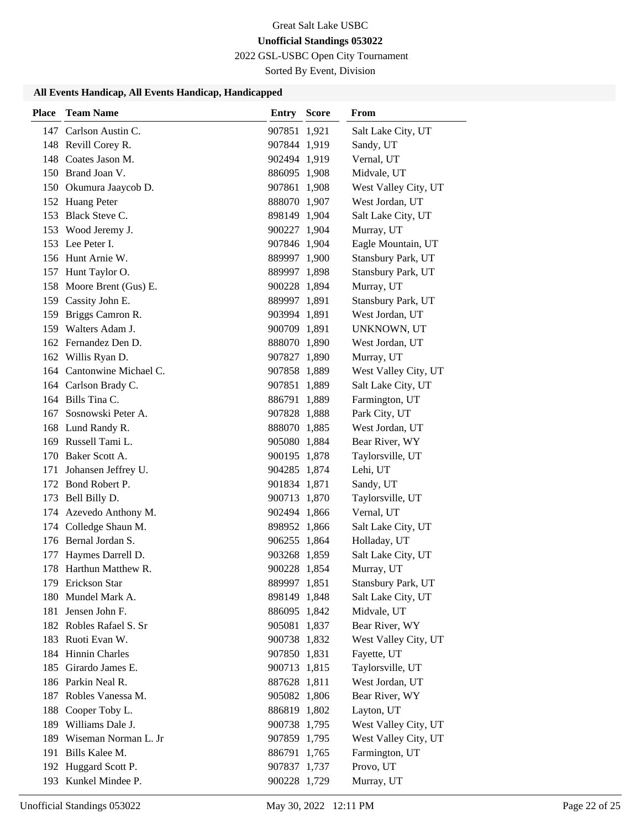2022 GSL-USBC Open City Tournament

Sorted By Event, Division

| <b>Place</b> | <b>Team Name</b>          | <b>Entry Score</b> | From                 |
|--------------|---------------------------|--------------------|----------------------|
|              | 147 Carlson Austin C.     | 907851 1,921       | Salt Lake City, UT   |
|              | 148 Revill Corey R.       | 907844 1,919       | Sandy, UT            |
|              | 148 Coates Jason M.       | 902494 1,919       | Vernal, UT           |
|              | 150 Brand Joan V.         | 886095 1,908       | Midvale, UT          |
|              | 150 Okumura Jaaycob D.    | 907861 1,908       | West Valley City, UT |
|              | 152 Huang Peter           | 888070 1,907       | West Jordan, UT      |
|              | 153 Black Steve C.        | 898149 1,904       | Salt Lake City, UT   |
|              | 153 Wood Jeremy J.        | 900227 1,904       | Murray, UT           |
|              | 153 Lee Peter I.          | 907846 1,904       | Eagle Mountain, UT   |
|              | 156 Hunt Arnie W.         | 889997 1,900       | Stansbury Park, UT   |
|              | 157 Hunt Taylor O.        | 889997 1,898       | Stansbury Park, UT   |
|              | 158 Moore Brent (Gus) E.  | 900228 1,894       | Murray, UT           |
|              | 159 Cassity John E.       | 889997 1,891       | Stansbury Park, UT   |
|              | 159 Briggs Camron R.      | 903994 1,891       | West Jordan, UT      |
|              | 159 Walters Adam J.       | 900709 1,891       | UNKNOWN, UT          |
|              | 162 Fernandez Den D.      | 888070 1,890       | West Jordan, UT      |
|              | 162 Willis Ryan D.        | 907827 1,890       | Murray, UT           |
|              | 164 Cantonwine Michael C. | 907858 1,889       | West Valley City, UT |
|              | 164 Carlson Brady C.      | 907851 1,889       | Salt Lake City, UT   |
|              | 164 Bills Tina C.         | 886791 1,889       | Farmington, UT       |
|              | 167 Sosnowski Peter A.    | 907828 1,888       | Park City, UT        |
|              | 168 Lund Randy R.         | 888070 1,885       | West Jordan, UT      |
|              | 169 Russell Tami L.       | 905080 1,884       | Bear River, WY       |
|              | 170 Baker Scott A.        | 900195 1,878       | Taylorsville, UT     |
| 171          | Johansen Jeffrey U.       | 904285 1,874       | Lehi, UT             |
|              | 172 Bond Robert P.        | 901834 1,871       | Sandy, UT            |
|              | 173 Bell Billy D.         | 900713 1,870       | Taylorsville, UT     |
|              | 174 Azevedo Anthony M.    | 902494 1,866       | Vernal, UT           |
|              | 174 Colledge Shaun M.     | 898952 1,866       | Salt Lake City, UT   |
|              | 176 Bernal Jordan S.      | 906255 1,864       | Holladay, UT         |
| 177          | Haymes Darrell D.         | 903268 1,859       | Salt Lake City, UT   |
|              | 178 Harthun Matthew R.    | 900228 1.854       | Murray, UT           |
|              | 179 Erickson Star         | 889997 1,851       | Stansbury Park, UT   |
|              | 180 Mundel Mark A.        | 898149 1,848       | Salt Lake City, UT   |
| 181          | Jensen John F.            | 886095 1,842       | Midvale, UT          |
|              | 182 Robles Rafael S. Sr   | 905081 1,837       | Bear River, WY       |
|              | 183 Ruoti Evan W.         | 900738 1,832       | West Valley City, UT |
|              | 184 Hinnin Charles        | 907850 1,831       | Fayette, UT          |
|              | 185 Girardo James E.      | 900713 1,815       | Taylorsville, UT     |
|              | 186 Parkin Neal R.        | 887628 1,811       | West Jordan, UT      |
|              | 187 Robles Vanessa M.     | 905082 1,806       | Bear River, WY       |
| 188          | Cooper Toby L.            | 886819 1,802       | Layton, UT           |
|              | 189 Williams Dale J.      | 900738 1,795       | West Valley City, UT |
|              | 189 Wiseman Norman L. Jr  | 907859 1,795       | West Valley City, UT |
|              | 191 Bills Kalee M.        | 886791 1,765       | Farmington, UT       |
|              | 192 Huggard Scott P.      | 907837 1,737       | Provo, UT            |
|              | 193 Kunkel Mindee P.      | 900228 1,729       | Murray, UT           |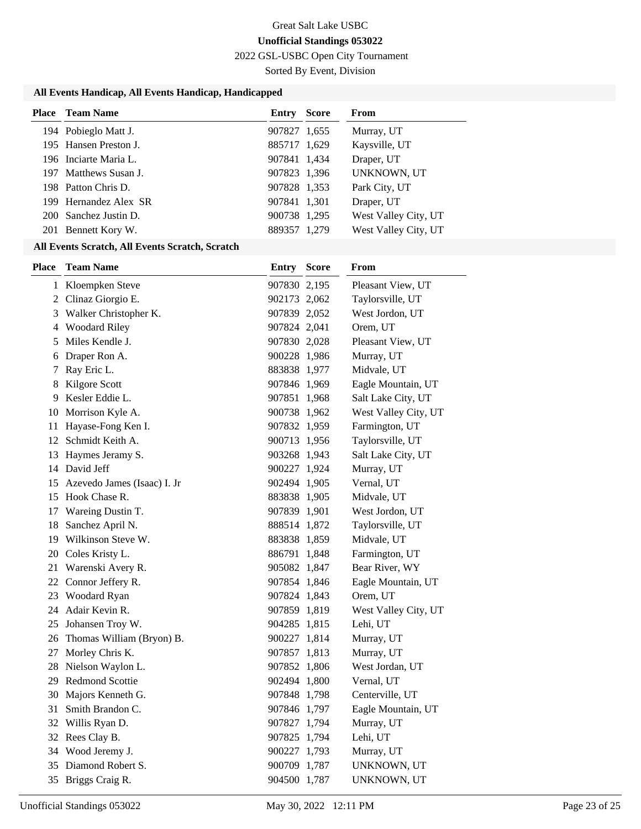2022 GSL-USBC Open City Tournament

Sorted By Event, Division

### **All Events Handicap, All Events Handicap, Handicapped**

| <b>Place</b> Team Name | Entry        | <b>Score</b> | <b>From</b>          |
|------------------------|--------------|--------------|----------------------|
| 194 Pobieglo Matt J.   | 907827 1,655 |              | Murray, UT           |
| 195 Hansen Preston J.  | 885717 1,629 |              | Kaysville, UT        |
| 196 Inciarte Maria L.  | 907841 1,434 |              | Draper, UT           |
| 197 Matthews Susan J.  | 907823 1,396 |              | UNKNOWN, UT          |
| 198 Patton Chris D.    | 907828 1,353 |              | Park City, UT        |
| 199 Hernandez Alex SR  | 907841 1,301 |              | Draper, UT           |
| 200 Sanchez Justin D.  | 900738 1,295 |              | West Valley City, UT |
| 201 Bennett Kory W.    | 889357 1,279 |              | West Valley City, UT |

### **All Events Scratch, All Events Scratch, Scratch**

| <b>Place</b> | <b>Team Name</b>               | <b>Entry Score</b> | From                 |
|--------------|--------------------------------|--------------------|----------------------|
|              | 1 Kloempken Steve              | 907830 2,195       | Pleasant View, UT    |
|              | 2 Clinaz Giorgio E.            | 902173 2,062       | Taylorsville, UT     |
|              | 3 Walker Christopher K.        | 907839 2,052       | West Jordon, UT      |
|              | 4 Woodard Riley                | 907824 2,041       | Orem, UT             |
| 5            | Miles Kendle J.                | 907830 2,028       | Pleasant View, UT    |
|              | 6 Draper Ron A.                | 900228 1,986       | Murray, UT           |
| 7            | Ray Eric L.                    | 883838 1,977       | Midvale, UT          |
| 8            | Kilgore Scott                  | 907846 1,969       | Eagle Mountain, UT   |
| 9            | Kesler Eddie L.                | 907851 1,968       | Salt Lake City, UT   |
|              | 10 Morrison Kyle A.            | 900738 1,962       | West Valley City, UT |
| 11           | Hayase-Fong Ken I.             | 907832 1,959       | Farmington, UT       |
|              | 12 Schmidt Keith A.            | 900713 1,956       | Taylorsville, UT     |
|              | 13 Haymes Jeramy S.            | 903268 1,943       | Salt Lake City, UT   |
|              | 14 David Jeff                  | 900227 1,924       | Murray, UT           |
|              | 15 Azevedo James (Isaac) I. Jr | 902494 1,905       | Vernal, UT           |
|              | 15 Hook Chase R.               | 883838 1,905       | Midvale, UT          |
|              | 17 Wareing Dustin T.           | 907839 1,901       | West Jordon, UT      |
| 18           | Sanchez April N.               | 888514 1,872       | Taylorsville, UT     |
|              | 19 Wilkinson Steve W.          | 883838 1,859       | Midvale, UT          |
|              | 20 Coles Kristy L.             | 886791 1,848       | Farmington, UT       |
| 21           | Warenski Avery R.              | 905082 1,847       | Bear River, WY       |
|              | 22 Connor Jeffery R.           | 907854 1,846       | Eagle Mountain, UT   |
| 23           | Woodard Ryan                   | 907824 1,843       | Orem, UT             |
| 24           | Adair Kevin R.                 | 907859 1,819       | West Valley City, UT |
|              | 25 Johansen Troy W.            | 904285 1,815       | Lehi, UT             |
|              | 26 Thomas William (Bryon) B.   | 900227 1,814       | Murray, UT           |
|              | 27 Morley Chris K.             | 907857 1,813       | Murray, UT           |
|              | 28 Nielson Waylon L.           | 907852 1,806       | West Jordan, UT      |
|              | 29 Redmond Scottie             | 902494 1,800       | Vernal, UT           |
|              | 30 Majors Kenneth G.           | 907848 1,798       | Centerville, UT      |
| 31           | Smith Brandon C.               | 907846 1,797       | Eagle Mountain, UT   |
|              | 32 Willis Ryan D.              | 907827 1,794       | Murray, UT           |
|              | 32 Rees Clay B.                | 907825 1,794       | Lehi, UT             |
| 34           | Wood Jeremy J.                 | 900227 1,793       | Murray, UT           |
| 35           | Diamond Robert S.              | 900709 1,787       | UNKNOWN, UT          |
|              | 35 Briggs Craig R.             | 904500 1,787       | UNKNOWN, UT          |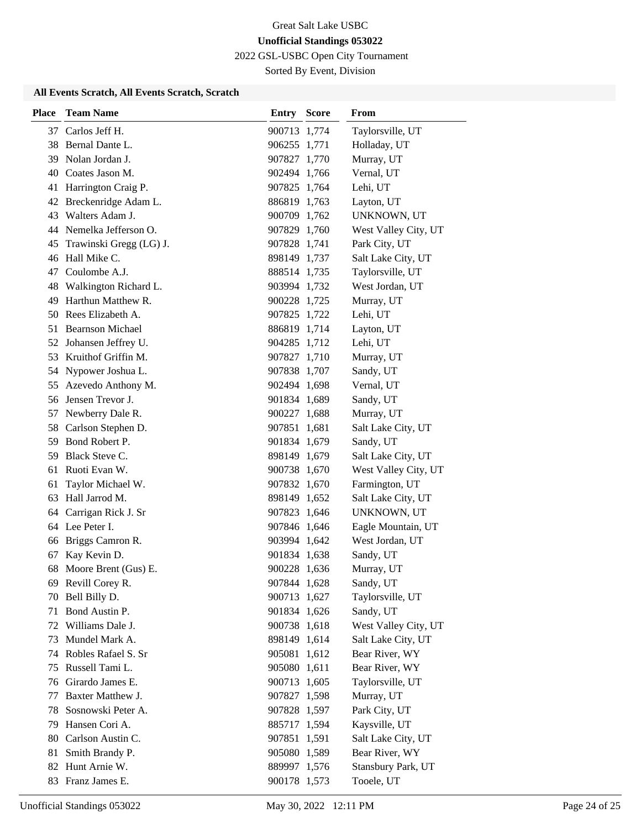2022 GSL-USBC Open City Tournament

Sorted By Event, Division

# **All Events Scratch, All Events Scratch, Scratch**

| <b>Place</b> | <b>Team Name</b>         | <b>Entry Score</b> | From                 |
|--------------|--------------------------|--------------------|----------------------|
|              | 37 Carlos Jeff H.        | 900713 1,774       | Taylorsville, UT     |
|              | 38 Bernal Dante L.       | 906255 1,771       | Holladay, UT         |
|              | 39 Nolan Jordan J.       | 907827 1,770       | Murray, UT           |
|              | 40 Coates Jason M.       | 902494 1,766       | Vernal, UT           |
| 41           | Harrington Craig P.      | 907825 1,764       | Lehi, UT             |
|              | 42 Breckenridge Adam L.  | 886819 1,763       | Layton, UT           |
| 43           | Walters Adam J.          | 900709 1,762       | UNKNOWN, UT          |
|              | 44 Nemelka Jefferson O.  | 907829 1,760       | West Valley City, UT |
| 45           | Trawinski Gregg (LG) J.  | 907828 1,741       | Park City, UT        |
|              | 46 Hall Mike C.          | 898149 1,737       | Salt Lake City, UT   |
| 47           | Coulombe A.J.            | 888514 1,735       | Taylorsville, UT     |
|              | 48 Walkington Richard L. | 903994 1,732       | West Jordan, UT      |
| 49           | Harthun Matthew R.       | 900228 1,725       | Murray, UT           |
|              | 50 Rees Elizabeth A.     | 907825 1,722       | Lehi, UT             |
|              | 51 Bearnson Michael      | 886819 1,714       | Layton, UT           |
|              | 52 Johansen Jeffrey U.   | 904285 1,712       | Lehi, UT             |
| 53           | Kruithof Griffin M.      | 907827 1,710       | Murray, UT           |
| 54           | Nypower Joshua L.        | 907838 1,707       | Sandy, UT            |
|              | 55 Azevedo Anthony M.    | 902494 1,698       | Vernal, UT           |
|              | 56 Jensen Trevor J.      | 901834 1,689       | Sandy, UT            |
| 57           | Newberry Dale R.         | 900227 1,688       | Murray, UT           |
| 58           | Carlson Stephen D.       | 907851 1,681       | Salt Lake City, UT   |
|              | 59 Bond Robert P.        | 901834 1,679       | Sandy, UT            |
| 59           | Black Steve C.           | 898149 1,679       | Salt Lake City, UT   |
| 61           | Ruoti Evan W.            | 900738 1,670       | West Valley City, UT |
| 61           | Taylor Michael W.        | 907832 1,670       | Farmington, UT       |
| 63           | Hall Jarrod M.           | 898149 1,652       | Salt Lake City, UT   |
| 64           | Carrigan Rick J. Sr      | 907823 1,646       | UNKNOWN, UT          |
|              | 64 Lee Peter I.          | 907846 1,646       | Eagle Mountain, UT   |
| 66           | Briggs Camron R.         | 903994 1,642       | West Jordan, UT      |
| 67           | Kay Kevin D.             | 901834 1,638       | Sandy, UT            |
| 68           | Moore Brent (Gus) E.     | 900228 1,636       | Murray, UT           |
|              | 69 Revill Corey R.       | 907844 1,628       | Sandy, UT            |
| 70           | Bell Billy D.            | 900713 1,627       | Taylorsville, UT     |
| 71           | Bond Austin P.           | 901834 1,626       | Sandy, UT            |
|              | 72 Williams Dale J.      | 900738 1,618       | West Valley City, UT |
| 73           | Mundel Mark A.           | 898149 1,614       | Salt Lake City, UT   |
| 74           | Robles Rafael S. Sr      | 905081 1,612       | Bear River, WY       |
| 75           | Russell Tami L.          | 905080 1,611       | Bear River, WY       |
| 76           | Girardo James E.         | 900713 1,605       | Taylorsville, UT     |
| 77           | Baxter Matthew J.        | 907827 1,598       | Murray, UT           |
| 78           | Sosnowski Peter A.       | 907828 1,597       | Park City, UT        |
| 79           | Hansen Cori A.           | 885717 1,594       | Kaysville, UT        |
| 80           | Carlson Austin C.        | 907851 1,591       | Salt Lake City, UT   |
| 81           | Smith Brandy P.          | 905080 1,589       | Bear River, WY       |
| 82           | Hunt Arnie W.            | 889997 1,576       | Stansbury Park, UT   |
|              | 83 Franz James E.        | 900178 1,573       | Tooele, UT           |